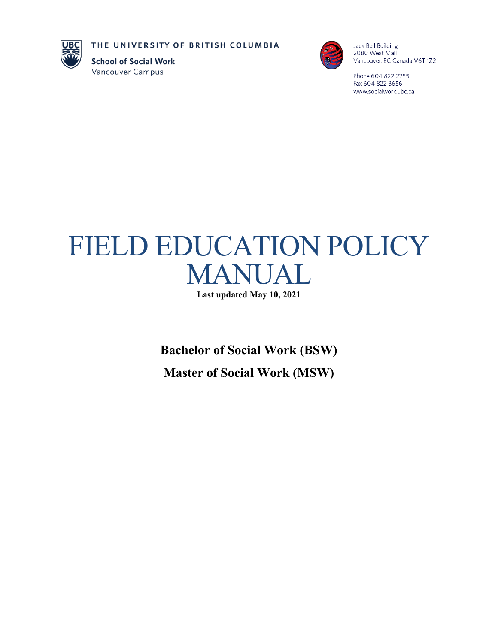THE UNIVERSITY OF BRITISH COLUMBIA



**School of Social Work** Vancouver Campus



Jack Bell Building 2080 West Mall Vancouver, BC Canada V6T 1Z2

Phone 604 822 2255 Fax 604 822 8656 www.socialwork.ubc.ca

# FIELD EDUCATION POLICY MANUAL

**Last updated May 10, 2021**

**Bachelor of Social Work (BSW) Master of Social Work (MSW)**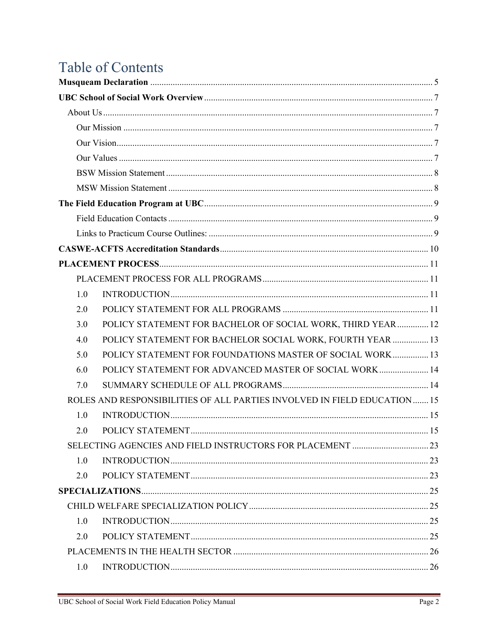## Table of Contents

| 1.0 |                                                                          |  |
|-----|--------------------------------------------------------------------------|--|
| 2.0 |                                                                          |  |
| 3.0 | POLICY STATEMENT FOR BACHELOR OF SOCIAL WORK, THIRD YEAR  12             |  |
| 4.0 | POLICY STATEMENT FOR BACHELOR SOCIAL WORK, FOURTH YEAR  13               |  |
| 5.0 | POLICY STATEMENT FOR FOUNDATIONS MASTER OF SOCIAL WORK 13                |  |
| 6.0 | POLICY STATEMENT FOR ADVANCED MASTER OF SOCIAL WORK 14                   |  |
| 7.0 |                                                                          |  |
|     | ROLES AND RESPONSIBILITIES OF ALL PARTIES INVOLVED IN FIELD EDUCATION 15 |  |
| 1.0 |                                                                          |  |
| 2.0 |                                                                          |  |
|     |                                                                          |  |
| 1.0 |                                                                          |  |
| 2.0 |                                                                          |  |
|     |                                                                          |  |
|     |                                                                          |  |
| 1.0 |                                                                          |  |
| 2.0 |                                                                          |  |
|     |                                                                          |  |
| 1.0 |                                                                          |  |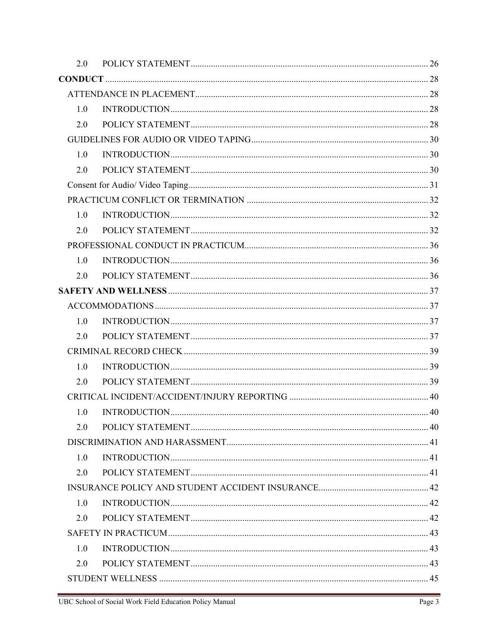| 2.0 |  |
|-----|--|
|     |  |
|     |  |
| 1.0 |  |
| 2.0 |  |
|     |  |
| 1.0 |  |
| 2.0 |  |
|     |  |
|     |  |
| 1.0 |  |
| 2.0 |  |
|     |  |
| 1.0 |  |
| 2.0 |  |
|     |  |
|     |  |
| 1.0 |  |
| 2.0 |  |
|     |  |
| 1.0 |  |
| 2.0 |  |
|     |  |
| 1.0 |  |
| 2.0 |  |
|     |  |
| 1.0 |  |
| 2.0 |  |
|     |  |
| 1.0 |  |
| 2.0 |  |
|     |  |
| 1.0 |  |
| 2.0 |  |
|     |  |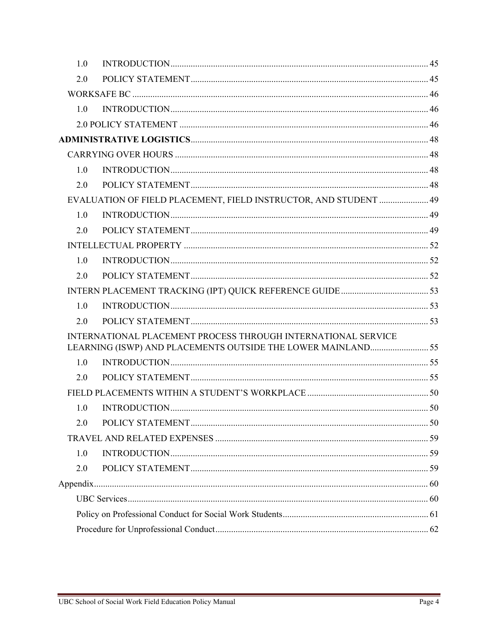| 1.0 |                                                                                                                              |  |
|-----|------------------------------------------------------------------------------------------------------------------------------|--|
| 2.0 |                                                                                                                              |  |
|     |                                                                                                                              |  |
| 1.0 |                                                                                                                              |  |
|     |                                                                                                                              |  |
|     |                                                                                                                              |  |
|     |                                                                                                                              |  |
| 1.0 |                                                                                                                              |  |
| 2.0 |                                                                                                                              |  |
|     | EVALUATION OF FIELD PLACEMENT, FIELD INSTRUCTOR, AND STUDENT  49                                                             |  |
| 1.0 |                                                                                                                              |  |
| 2.0 |                                                                                                                              |  |
|     |                                                                                                                              |  |
| 1.0 |                                                                                                                              |  |
| 2.0 |                                                                                                                              |  |
|     |                                                                                                                              |  |
| 1.0 |                                                                                                                              |  |
| 2.0 |                                                                                                                              |  |
|     | INTERNATIONAL PLACEMENT PROCESS THROUGH INTERNATIONAL SERVICE<br>LEARNING (ISWP) AND PLACEMENTS OUTSIDE THE LOWER MAINLAND55 |  |
| 1.0 |                                                                                                                              |  |
| 2.0 |                                                                                                                              |  |
|     |                                                                                                                              |  |
| 1.0 |                                                                                                                              |  |
| 2.0 |                                                                                                                              |  |
|     |                                                                                                                              |  |
| 1.0 |                                                                                                                              |  |
| 2.0 |                                                                                                                              |  |
|     |                                                                                                                              |  |
|     |                                                                                                                              |  |
|     |                                                                                                                              |  |
|     |                                                                                                                              |  |
|     |                                                                                                                              |  |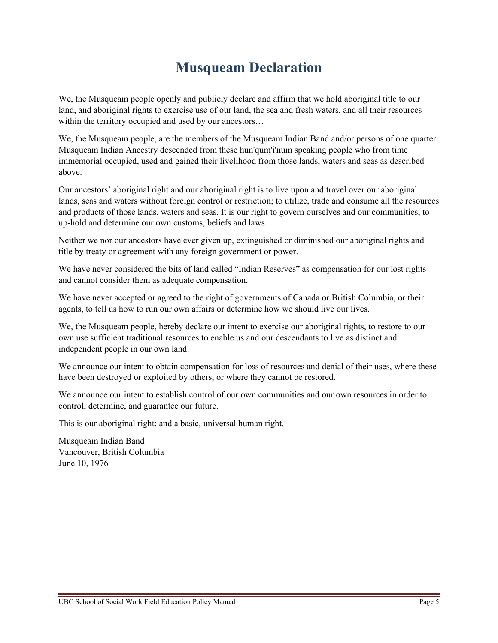## **Musqueam Declaration**

<span id="page-4-0"></span>We, the Musqueam people openly and publicly declare and affirm that we hold aboriginal title to our land, and aboriginal rights to exercise use of our land, the sea and fresh waters, and all their resources within the territory occupied and used by our ancestors...

We, the Musqueam people, are the members of the Musqueam Indian Band and/or persons of one quarter Musqueam Indian Ancestry descended from these hun'qum'i'num speaking people who from time immemorial occupied, used and gained their livelihood from those lands, waters and seas as described above.

Our ancestors' aboriginal right and our aboriginal right is to live upon and travel over our aboriginal lands, seas and waters without foreign control or restriction; to utilize, trade and consume all the resources and products of those lands, waters and seas. It is our right to govern ourselves and our communities, to up-hold and determine our own customs, beliefs and laws.

Neither we nor our ancestors have ever given up, extinguished or diminished our aboriginal rights and title by treaty or agreement with any foreign government or power.

We have never considered the bits of land called "Indian Reserves" as compensation for our lost rights and cannot consider them as adequate compensation.

We have never accepted or agreed to the right of governments of Canada or British Columbia, or their agents, to tell us how to run our own affairs or determine how we should live our lives.

We, the Musqueam people, hereby declare our intent to exercise our aboriginal rights, to restore to our own use sufficient traditional resources to enable us and our descendants to live as distinct and independent people in our own land.

We announce our intent to obtain compensation for loss of resources and denial of their uses, where these have been destroyed or exploited by others, or where they cannot be restored.

We announce our intent to establish control of our own communities and our own resources in order to control, determine, and guarantee our future.

This is our aboriginal right; and a basic, universal human right.

Musqueam Indian Band Vancouver, British Columbia June 10, 1976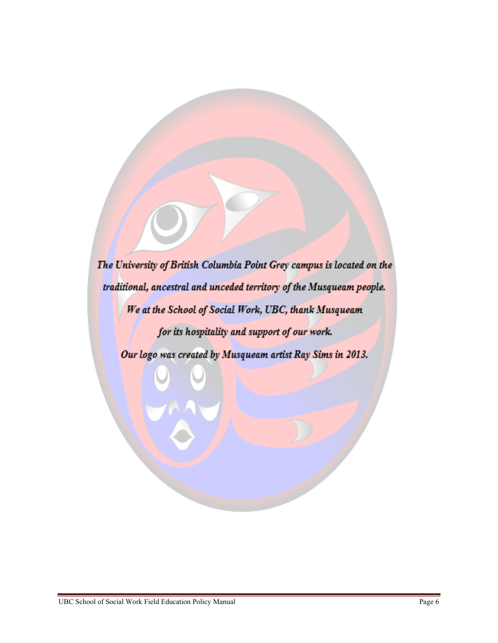The University of British Columbia Point Grey campus is located on the traditional, ancestral and unceded territory of the Musqueam people. We at the School of Social Work, UBC, thank Musqueam for its hospitality and support of our work. Our logo was created by Musqueam artist Ray Sims in 2013.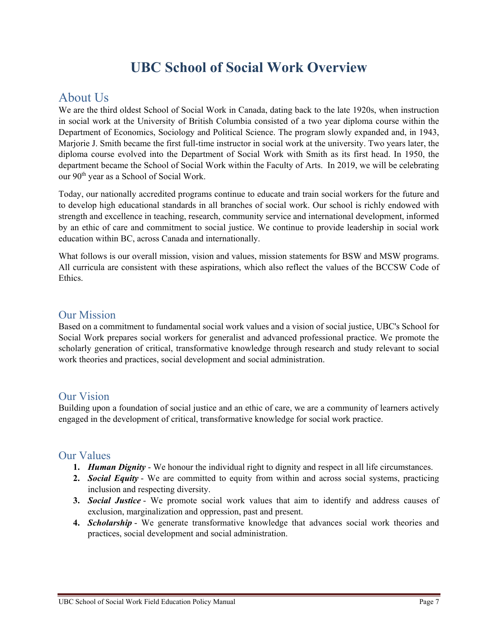## **UBC School of Social Work Overview**

## <span id="page-6-1"></span><span id="page-6-0"></span>About Us

We are the third oldest School of Social Work in Canada, dating back to the late 1920s, when instruction in social work at the University of British Columbia consisted of a two year diploma course within the Department of Economics, Sociology and Political Science. The program slowly expanded and, in 1943, Marjorie J. Smith became the first full-time instructor in social work at the university. Two years later, the diploma course evolved into the Department of Social Work with Smith as its first head. In 1950, the department became the School of Social Work within the Faculty of Arts. In 2019, we will be celebrating our  $90<sup>th</sup>$  year as a School of Social Work.

Today, our nationally accredited programs continue to educate and train social workers for the future and to develop high educational standards in all branches of social work. Our school is richly endowed with strength and excellence in teaching, research, community service and international development, informed by an ethic of care and commitment to social justice. We continue to provide leadership in social work education within BC, across Canada and internationally.

What follows is our overall mission, vision and values, mission statements for BSW and MSW programs. All curricula are consistent with these aspirations, which also reflect the values of the BCCSW Code of Ethics.

#### <span id="page-6-2"></span>Our Mission

Based on a commitment to fundamental social work values and a vision of social justice, UBC's School for Social Work prepares social workers for generalist and advanced professional practice. We promote the scholarly generation of critical, transformative knowledge through research and study relevant to social work theories and practices, social development and social administration.

### <span id="page-6-3"></span>Our Vision

Building upon a foundation of social justice and an ethic of care, we are a community of learners actively engaged in the development of critical, transformative knowledge for social work practice.

#### <span id="page-6-4"></span>Our Values

- **1.** *Human Dignity* We honour the individual right to dignity and respect in all life circumstances.
- **2.** *Social Equity* We are committed to equity from within and across social systems, practicing inclusion and respecting diversity.
- **3.** *Social Justice* We promote social work values that aim to identify and address causes of exclusion, marginalization and oppression, past and present.
- **4.** *Scholarship* We generate transformative knowledge that advances social work theories and practices, social development and social administration.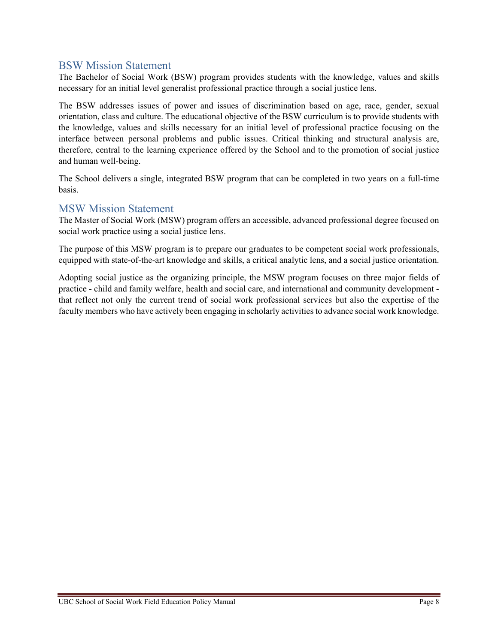#### <span id="page-7-0"></span>BSW Mission Statement

The Bachelor of Social Work (BSW) program provides students with the knowledge, values and skills necessary for an initial level generalist professional practice through a social justice lens.

The BSW addresses issues of power and issues of discrimination based on age, race, gender, sexual orientation, class and culture. The educational objective of the BSW curriculum is to provide students with the knowledge, values and skills necessary for an initial level of professional practice focusing on the interface between personal problems and public issues. Critical thinking and structural analysis are, therefore, central to the learning experience offered by the School and to the promotion of social justice and human well-being.

The School delivers a single, integrated BSW program that can be completed in two years on a full-time basis.

### <span id="page-7-1"></span>MSW Mission Statement

The Master of Social Work (MSW) program offers an accessible, advanced professional degree focused on social work practice using a social justice lens.

The purpose of this MSW program is to prepare our graduates to be competent social work professionals, equipped with state-of-the-art knowledge and skills, a critical analytic lens, and a social justice orientation.

Adopting social justice as the organizing principle, the MSW program focuses on three major fields of practice - child and family welfare, health and social care, and international and community development that reflect not only the current trend of social work professional services but also the expertise of the faculty members who have actively been engaging in scholarly activities to advance social work knowledge.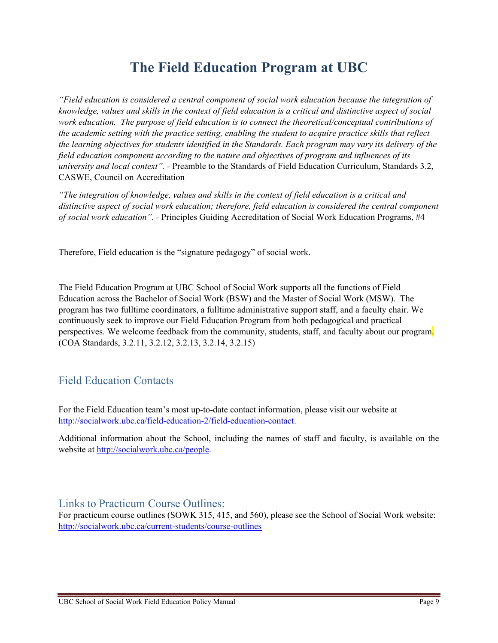## **The Field Education Program at UBC**

<span id="page-8-0"></span>*"Field education is considered a central component of social work education because the integration of knowledge, values and skills in the context of field education is a critical and distinctive aspect of social work education. The purpose of field education is to connect the theoretical/conceptual contributions of the academic setting with the practice setting, enabling the student to acquire practice skills that reflect the learning objectives for students identified in the Standards. Each program may vary its delivery of the field education component according to the nature and objectives of program and influences of its university and local context". -* Preamble to the Standards of Field Education Curriculum, Standards 3.2, CASWE, Council on Accreditation

*"The integration of knowledge, values and skills in the context of field education is a critical and distinctive aspect of social work education; therefore, field education is considered the central component of social work education". -* Principles Guiding Accreditation of Social Work Education Programs, #4

Therefore, Field education is the "signature pedagogy" of social work.

The Field Education Program at UBC School of Social Work supports all the functions of Field Education across the Bachelor of Social Work (BSW) and the Master of Social Work (MSW). The program has two fulltime coordinators, a fulltime administrative support staff, and a faculty chair. We continuously seek to improve our Field Education Program from both pedagogical and practical perspectives. We welcome feedback from the community, students, staff, and faculty about our program. (COA Standards, 3.2.11, 3.2.12, 3.2.13, 3.2.14, 3.2.15)

## <span id="page-8-1"></span>Field Education Contacts

For the Field Education team's most up-to-date contact information, please visit our website at [http://socialwork.ubc.ca/field-education-2/field-education-contact.](http://socialwork.ubc.ca/field-education-2/field-education-contact)

Additional information about the School, including the names of staff and faculty, is available on the website at [http://socialwork.ubc.ca/people.](http://socialwork.ubc.ca/people)

<span id="page-8-2"></span>Links to Practicum Course Outlines:

For practicum course outlines (SOWK 315, 415, and 560), please see the School of Social Work website: <http://socialwork.ubc.ca/current-students/course-outlines>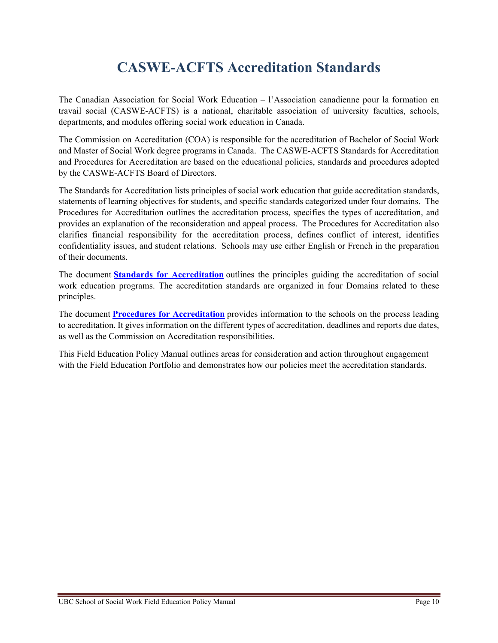## **CASWE-ACFTS Accreditation Standards**

<span id="page-9-0"></span>The Canadian Association for Social Work Education – l'Association canadienne pour la formation en travail social (CASWE-ACFTS) is a national, charitable association of university faculties, schools, departments, and modules offering social work education in Canada.

The Commission on Accreditation (COA) is responsible for the accreditation of Bachelor of Social Work and Master of Social Work degree programs in Canada. The CASWE-ACFTS Standards for Accreditation and Procedures for Accreditation are based on the educational policies, standards and procedures adopted by the CASWE-ACFTS Board of Directors.

The Standards for Accreditation lists principles of social work education that guide accreditation standards, statements of learning objectives for students, and specific standards categorized under four domains. The Procedures for Accreditation outlines the accreditation process, specifies the types of accreditation, and provides an explanation of the reconsideration and appeal process. The Procedures for Accreditation also clarifies financial responsibility for the accreditation process, defines conflict of interest, identifies confidentiality issues, and student relations. Schools may use either English or French in the preparation of their documents.

The document **[Standards for Accreditation](http://caswe-acfts.ca/wp-content/uploads/2013/03/CASWE-ACFTS-Standards-11-2014.pdf)** outlines the principles guiding the accreditation of social work education programs. The accreditation standards are organized in four Domains related to these principles.

The document **[Procedures for Accreditation](http://caswe-acfts.ca/wp-content/uploads/2013/03/Procedures-June-2015.pdf)** provides information to the schools on the process leading to accreditation. It gives information on the different types of accreditation, deadlines and reports due dates, as well as the Commission on Accreditation responsibilities.

This Field Education Policy Manual outlines areas for consideration and action throughout engagement with the Field Education Portfolio and demonstrates how our policies meet the accreditation standards.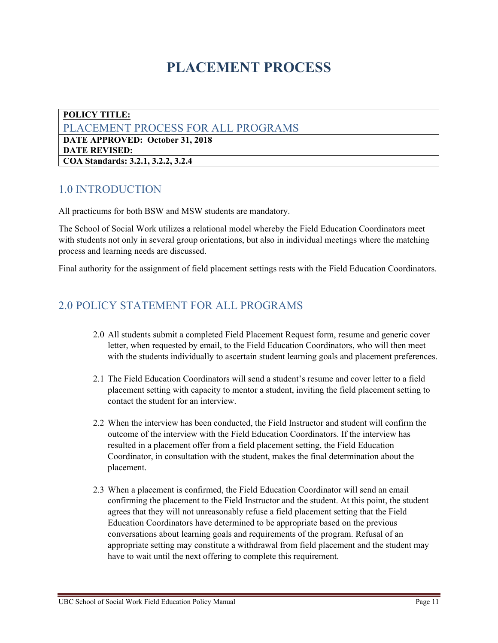## **PLACEMENT PROCESS**

<span id="page-10-1"></span><span id="page-10-0"></span>**POLICY TITLE:**  PLACEMENT PROCESS FOR ALL PROGRAMS **DATE APPROVED: October 31, 2018 DATE REVISED: COA Standards: 3.2.1, 3.2.2, 3.2.4**

## <span id="page-10-2"></span>1.0 INTRODUCTION

All practicums for both BSW and MSW students are mandatory.

The School of Social Work utilizes a relational model whereby the Field Education Coordinators meet with students not only in several group orientations, but also in individual meetings where the matching process and learning needs are discussed.

Final authority for the assignment of field placement settings rests with the Field Education Coordinators.

## <span id="page-10-3"></span>2.0 POLICY STATEMENT FOR ALL PROGRAMS

- 2.0 All students submit a completed Field Placement Request form, resume and generic cover letter, when requested by email, to the Field Education Coordinators, who will then meet with the students individually to ascertain student learning goals and placement preferences.
- 2.1 The Field Education Coordinators will send a student's resume and cover letter to a field placement setting with capacity to mentor a student, inviting the field placement setting to contact the student for an interview.
- 2.2 When the interview has been conducted, the Field Instructor and student will confirm the outcome of the interview with the Field Education Coordinators. If the interview has resulted in a placement offer from a field placement setting, the Field Education Coordinator, in consultation with the student, makes the final determination about the placement.
- 2.3 When a placement is confirmed, the Field Education Coordinator will send an email confirming the placement to the Field Instructor and the student. At this point, the student agrees that they will not unreasonably refuse a field placement setting that the Field Education Coordinators have determined to be appropriate based on the previous conversations about learning goals and requirements of the program. Refusal of an appropriate setting may constitute a withdrawal from field placement and the student may have to wait until the next offering to complete this requirement.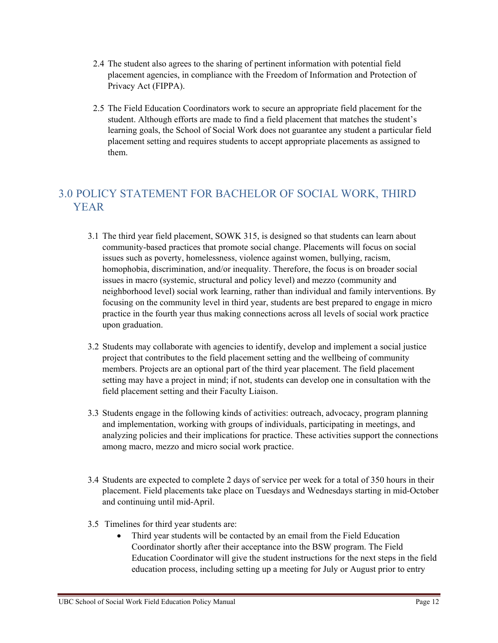- 2.4 The student also agrees to the sharing of pertinent information with potential field placement agencies, in compliance with the Freedom of Information and Protection of Privacy Act (FIPPA).
- 2.5 The Field Education Coordinators work to secure an appropriate field placement for the student. Although efforts are made to find a field placement that matches the student's learning goals, the School of Social Work does not guarantee any student a particular field placement setting and requires students to accept appropriate placements as assigned to them.

## <span id="page-11-0"></span>3.0 POLICY STATEMENT FOR BACHELOR OF SOCIAL WORK, THIRD YEAR

- 3.1 The third year field placement, SOWK 315, is designed so that students can learn about community-based practices that promote social change. Placements will focus on social issues such as poverty, homelessness, violence against women, bullying, racism, homophobia, discrimination, and/or inequality. Therefore, the focus is on broader social issues in macro (systemic, structural and policy level) and mezzo (community and neighborhood level) social work learning, rather than individual and family interventions. By focusing on the community level in third year, students are best prepared to engage in micro practice in the fourth year thus making connections across all levels of social work practice upon graduation.
- 3.2 Students may collaborate with agencies to identify, develop and implement a social justice project that contributes to the field placement setting and the wellbeing of community members. Projects are an optional part of the third year placement. The field placement setting may have a project in mind; if not, students can develop one in consultation with the field placement setting and their Faculty Liaison.
- 3.3 Students engage in the following kinds of activities: outreach, advocacy, program planning and implementation, working with groups of individuals, participating in meetings, and analyzing policies and their implications for practice. These activities support the connections among macro, mezzo and micro social work practice.
- 3.4 Students are expected to complete 2 days of service per week for a total of 350 hours in their placement. Field placements take place on Tuesdays and Wednesdays starting in mid-October and continuing until mid-April.
- 3.5 Timelines for third year students are:
	- Third year students will be contacted by an email from the Field Education Coordinator shortly after their acceptance into the BSW program. The Field Education Coordinator will give the student instructions for the next steps in the field education process, including setting up a meeting for July or August prior to entry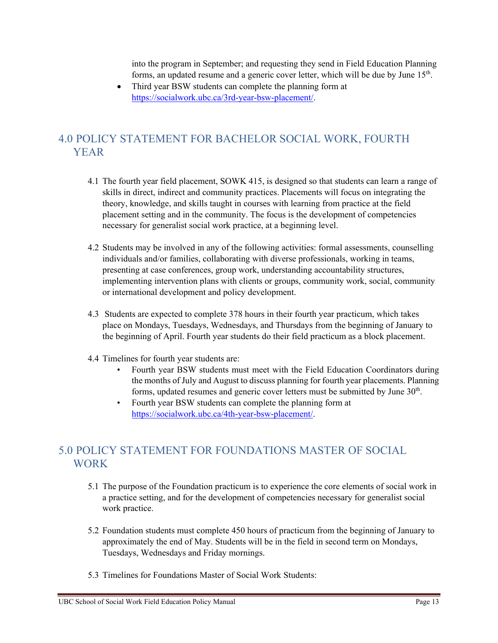into the program in September; and requesting they send in Field Education Planning forms, an updated resume and a generic cover letter, which will be due by June 15<sup>th</sup>.

Third year BSW students can complete the planning form at [https://socialwork.ubc.ca/3rd-year-bsw-placement/.](https://socialwork.ubc.ca/3rd-year-bsw-placement/)

## <span id="page-12-0"></span>4.0 POLICY STATEMENT FOR BACHELOR SOCIAL WORK, FOURTH YEAR

- 4.1 The fourth year field placement, SOWK 415, is designed so that students can learn a range of skills in direct, indirect and community practices. Placements will focus on integrating the theory, knowledge, and skills taught in courses with learning from practice at the field placement setting and in the community. The focus is the development of competencies necessary for generalist social work practice, at a beginning level.
- 4.2 Students may be involved in any of the following activities: formal assessments, counselling individuals and/or families, collaborating with diverse professionals, working in teams, presenting at case conferences, group work, understanding accountability structures, implementing intervention plans with clients or groups, community work, social, community or international development and policy development.
- 4.3 Students are expected to complete 378 hours in their fourth year practicum, which takes place on Mondays, Tuesdays, Wednesdays, and Thursdays from the beginning of January to the beginning of April. Fourth year students do their field practicum as a block placement.
- 4.4 Timelines for fourth year students are:
	- Fourth year BSW students must meet with the Field Education Coordinators during the months of July and August to discuss planning for fourth year placements. Planning forms, updated resumes and generic cover letters must be submitted by June  $30<sup>th</sup>$ .
	- Fourth year BSW students can complete the planning form at [https://socialwork.ubc.ca/4th-year-bsw-placement/.](https://socialwork.ubc.ca/4th-year-bsw-placement/)

## <span id="page-12-1"></span>5.0 POLICY STATEMENT FOR FOUNDATIONS MASTER OF SOCIAL WORK

- 5.1 The purpose of the Foundation practicum is to experience the core elements of social work in a practice setting, and for the development of competencies necessary for generalist social work practice.
- 5.2 Foundation students must complete 450 hours of practicum from the beginning of January to approximately the end of May. Students will be in the field in second term on Mondays, Tuesdays, Wednesdays and Friday mornings.
- 5.3 Timelines for Foundations Master of Social Work Students: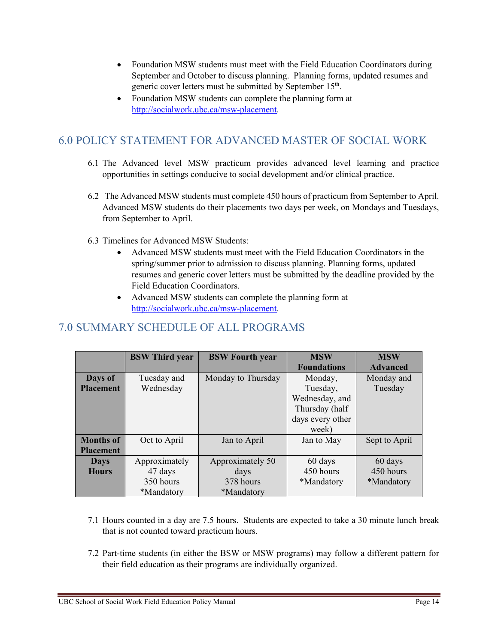- Foundation MSW students must meet with the Field Education Coordinators during September and October to discuss planning. Planning forms, updated resumes and generic cover letters must be submitted by September 15<sup>th</sup>.
- Foundation MSW students can complete the planning form at [http://socialwork.ubc.ca/msw-placement.](http://socialwork.ubc.ca/msw-placement)

## <span id="page-13-0"></span>6.0 POLICY STATEMENT FOR ADVANCED MASTER OF SOCIAL WORK

- 6.1 The Advanced level MSW practicum provides advanced level learning and practice opportunities in settings conducive to social development and/or clinical practice.
- 6.2 The Advanced MSW students must complete 450 hours of practicum from September to April. Advanced MSW students do their placements two days per week, on Mondays and Tuesdays, from September to April.
- 6.3 Timelines for Advanced MSW Students:
	- Advanced MSW students must meet with the Field Education Coordinators in the spring/summer prior to admission to discuss planning. Planning forms, updated resumes and generic cover letters must be submitted by the deadline provided by the Field Education Coordinators.
	- Advanced MSW students can complete the planning form at [http://socialwork.ubc.ca/msw-placement.](http://socialwork.ubc.ca/msw-placement)

## <span id="page-13-1"></span>7.0 SUMMARY SCHEDULE OF ALL PROGRAMS

|                  | <b>BSW</b> Third year | <b>BSW</b> Fourth year | <b>MSW</b>         | <b>MSW</b>      |
|------------------|-----------------------|------------------------|--------------------|-----------------|
|                  |                       |                        | <b>Foundations</b> | <b>Advanced</b> |
| Days of          | Tuesday and           | Monday to Thursday     | Monday,            | Monday and      |
| <b>Placement</b> | Wednesday             |                        | Tuesday,           | Tuesday         |
|                  |                       |                        | Wednesday, and     |                 |
|                  |                       |                        | Thursday (half     |                 |
|                  |                       |                        | days every other   |                 |
|                  |                       |                        | week)              |                 |
| <b>Months of</b> | Oct to April          | Jan to April           | Jan to May         | Sept to April   |
| <b>Placement</b> |                       |                        |                    |                 |
| <b>Days</b>      | Approximately         | Approximately 50       | 60 days            | 60 days         |
| <b>Hours</b>     | 47 days               | days                   | 450 hours          | 450 hours       |
|                  | 350 hours             | 378 hours              | *Mandatory         | *Mandatory      |
|                  | *Mandatory            | *Mandatory             |                    |                 |

- 7.1 Hours counted in a day are 7.5 hours. Students are expected to take a 30 minute lunch break that is not counted toward practicum hours.
- 7.2 Part-time students (in either the BSW or MSW programs) may follow a different pattern for their field education as their programs are individually organized.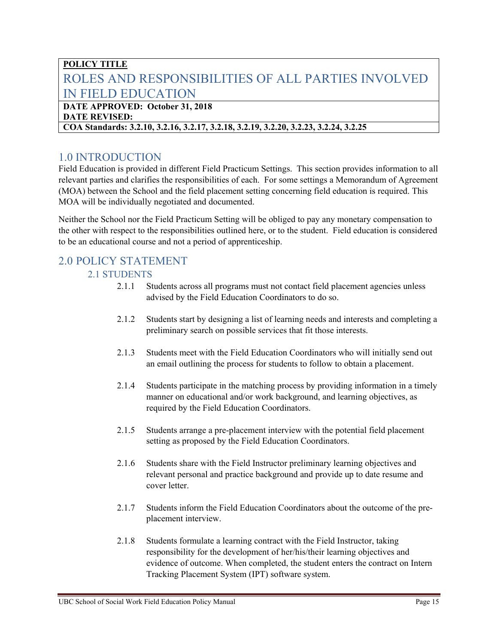## <span id="page-14-0"></span>**POLICY TITLE** ROLES AND RESPONSIBILITIES OF ALL PARTIES INVOLVED IN FIELD EDUCATION

#### **DATE APPROVED: October 31, 2018 DATE REVISED:**

#### **COA Standards: 3.2.10, 3.2.16, 3.2.17, 3.2.18, 3.2.19, 3.2.20, 3.2.23, 3.2.24, 3.2.25**

## <span id="page-14-1"></span>1.0 INTRODUCTION

Field Education is provided in different Field Practicum Settings. This section provides information to all relevant parties and clarifies the responsibilities of each. For some settings a Memorandum of Agreement (MOA) between the School and the field placement setting concerning field education is required. This MOA will be individually negotiated and documented.

Neither the School nor the Field Practicum Setting will be obliged to pay any monetary compensation to the other with respect to the responsibilities outlined here, or to the student. Field education is considered to be an educational course and not a period of apprenticeship.

## <span id="page-14-2"></span>2.0 POLICY STATEMENT

#### 2.1 STUDENTS

- 2.1.1 Students across all programs must not contact field placement agencies unless advised by the Field Education Coordinators to do so.
- 2.1.2 Students start by designing a list of learning needs and interests and completing a preliminary search on possible services that fit those interests.
- 2.1.3 Students meet with the Field Education Coordinators who will initially send out an email outlining the process for students to follow to obtain a placement.
- 2.1.4 Students participate in the matching process by providing information in a timely manner on educational and/or work background, and learning objectives, as required by the Field Education Coordinators.
- 2.1.5 Students arrange a pre-placement interview with the potential field placement setting as proposed by the Field Education Coordinators.
- 2.1.6 Students share with the Field Instructor preliminary learning objectives and relevant personal and practice background and provide up to date resume and cover letter.
- 2.1.7 Students inform the Field Education Coordinators about the outcome of the preplacement interview.
- 2.1.8 Students formulate a learning contract with the Field Instructor, taking responsibility for the development of her/his/their learning objectives and evidence of outcome. When completed, the student enters the contract on Intern Tracking Placement System (IPT) software system.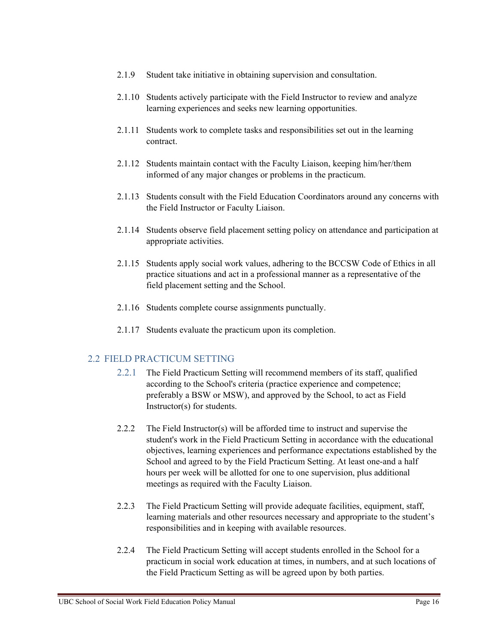- 2.1.9 Student take initiative in obtaining supervision and consultation.
- 2.1.10 Students actively participate with the Field Instructor to review and analyze learning experiences and seeks new learning opportunities.
- 2.1.11 Students work to complete tasks and responsibilities set out in the learning contract.
- 2.1.12 Students maintain contact with the Faculty Liaison, keeping him/her/them informed of any major changes or problems in the practicum.
- 2.1.13 Students consult with the Field Education Coordinators around any concerns with the Field Instructor or Faculty Liaison.
- 2.1.14 Students observe field placement setting policy on attendance and participation at appropriate activities.
- 2.1.15 Students apply social work values, adhering to the BCCSW Code of Ethics in all practice situations and act in a professional manner as a representative of the field placement setting and the School.
- 2.1.16 Students complete course assignments punctually.
- 2.1.17 Students evaluate the practicum upon its completion.

#### 2.2 FIELD PRACTICUM SETTING

- 2.2.1 The Field Practicum Setting will recommend members of its staff, qualified according to the School's criteria (practice experience and competence; preferably a BSW or MSW), and approved by the School, to act as Field Instructor(s) for students.
- 2.2.2 The Field Instructor(s) will be afforded time to instruct and supervise the student's work in the Field Practicum Setting in accordance with the educational objectives, learning experiences and performance expectations established by the School and agreed to by the Field Practicum Setting. At least one-and a half hours per week will be allotted for one to one supervision, plus additional meetings as required with the Faculty Liaison.
- 2.2.3 The Field Practicum Setting will provide adequate facilities, equipment, staff, learning materials and other resources necessary and appropriate to the student's responsibilities and in keeping with available resources.
- 2.2.4 The Field Practicum Setting will accept students enrolled in the School for a practicum in social work education at times, in numbers, and at such locations of the Field Practicum Setting as will be agreed upon by both parties.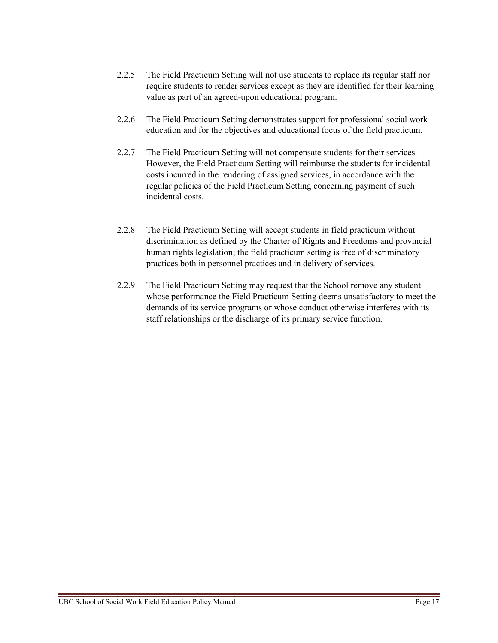- 2.2.5 The Field Practicum Setting will not use students to replace its regular staff nor require students to render services except as they are identified for their learning value as part of an agreed-upon educational program.
- 2.2.6 The Field Practicum Setting demonstrates support for professional social work education and for the objectives and educational focus of the field practicum.
- 2.2.7 The Field Practicum Setting will not compensate students for their services. However, the Field Practicum Setting will reimburse the students for incidental costs incurred in the rendering of assigned services, in accordance with the regular policies of the Field Practicum Setting concerning payment of such incidental costs.
- 2.2.8 The Field Practicum Setting will accept students in field practicum without discrimination as defined by the Charter of Rights and Freedoms and provincial human rights legislation; the field practicum setting is free of discriminatory practices both in personnel practices and in delivery of services.
- 2.2.9 The Field Practicum Setting may request that the School remove any student whose performance the Field Practicum Setting deems unsatisfactory to meet the demands of its service programs or whose conduct otherwise interferes with its staff relationships or the discharge of its primary service function.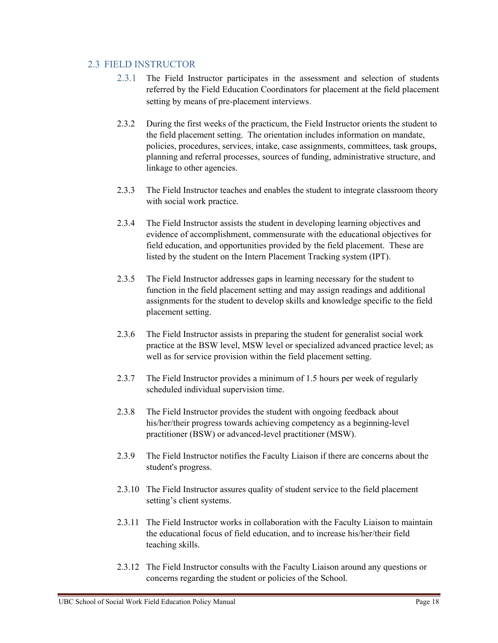#### 2.3 FIELD INSTRUCTOR

- 2.3.1 The Field Instructor participates in the assessment and selection of students referred by the Field Education Coordinators for placement at the field placement setting by means of pre-placement interviews.
- 2.3.2 During the first weeks of the practicum, the Field Instructor orients the student to the field placement setting. The orientation includes information on mandate, policies, procedures, services, intake, case assignments, committees, task groups, planning and referral processes, sources of funding, administrative structure, and linkage to other agencies.
- 2.3.3 The Field Instructor teaches and enables the student to integrate classroom theory with social work practice.
- 2.3.4 The Field Instructor assists the student in developing learning objectives and evidence of accomplishment, commensurate with the educational objectives for field education, and opportunities provided by the field placement. These are listed by the student on the Intern Placement Tracking system (IPT).
- 2.3.5 The Field Instructor addresses gaps in learning necessary for the student to function in the field placement setting and may assign readings and additional assignments for the student to develop skills and knowledge specific to the field placement setting.
- 2.3.6 The Field Instructor assists in preparing the student for generalist social work practice at the BSW level, MSW level or specialized advanced practice level; as well as for service provision within the field placement setting.
- 2.3.7 The Field Instructor provides a minimum of 1.5 hours per week of regularly scheduled individual supervision time.
- 2.3.8 The Field Instructor provides the student with ongoing feedback about his/her/their progress towards achieving competency as a beginning-level practitioner (BSW) or advanced-level practitioner (MSW).
- 2.3.9 The Field Instructor notifies the Faculty Liaison if there are concerns about the student's progress.
- 2.3.10 The Field Instructor assures quality of student service to the field placement setting's client systems.
- 2.3.11 The Field Instructor works in collaboration with the Faculty Liaison to maintain the educational focus of field education, and to increase his/her/their field teaching skills.
- 2.3.12 The Field Instructor consults with the Faculty Liaison around any questions or concerns regarding the student or policies of the School.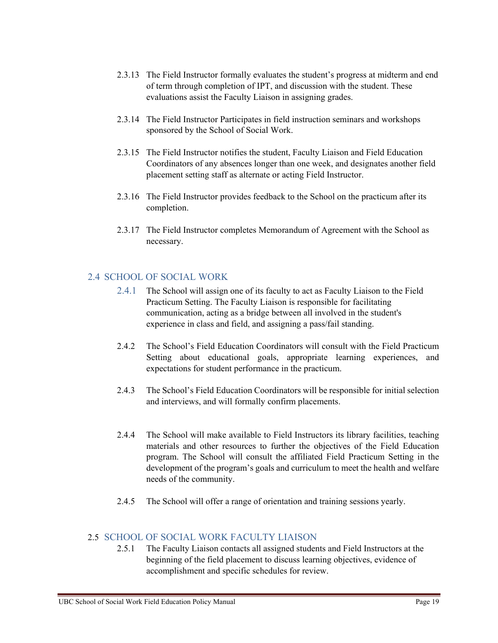- 2.3.13 The Field Instructor formally evaluates the student's progress at midterm and end of term through completion of IPT, and discussion with the student. These evaluations assist the Faculty Liaison in assigning grades.
- 2.3.14 The Field Instructor Participates in field instruction seminars and workshops sponsored by the School of Social Work.
- 2.3.15 The Field Instructor notifies the student, Faculty Liaison and Field Education Coordinators of any absences longer than one week, and designates another field placement setting staff as alternate or acting Field Instructor.
- 2.3.16 The Field Instructor provides feedback to the School on the practicum after its completion.
- 2.3.17 The Field Instructor completes Memorandum of Agreement with the School as necessary.

#### 2.4 SCHOOL OF SOCIAL WORK

- 2.4.1 The School will assign one of its faculty to act as Faculty Liaison to the Field Practicum Setting. The Faculty Liaison is responsible for facilitating communication, acting as a bridge between all involved in the student's experience in class and field, and assigning a pass/fail standing.
- 2.4.2 The School's Field Education Coordinators will consult with the Field Practicum Setting about educational goals, appropriate learning experiences, and expectations for student performance in the practicum.
- 2.4.3 The School's Field Education Coordinators will be responsible for initial selection and interviews, and will formally confirm placements.
- 2.4.4 The School will make available to Field Instructors its library facilities, teaching materials and other resources to further the objectives of the Field Education program. The School will consult the affiliated Field Practicum Setting in the development of the program's goals and curriculum to meet the health and welfare needs of the community.
- 2.4.5 The School will offer a range of orientation and training sessions yearly.

#### 2.5 SCHOOL OF SOCIAL WORK FACULTY LIAISON

2.5.1 The Faculty Liaison contacts all assigned students and Field Instructors at the beginning of the field placement to discuss learning objectives, evidence of accomplishment and specific schedules for review.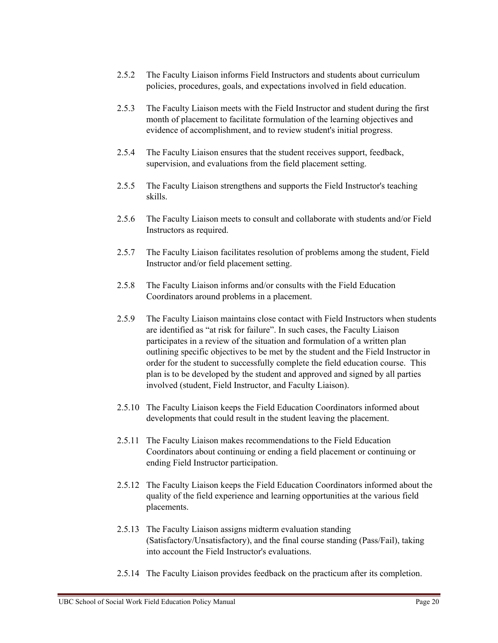- 2.5.2 The Faculty Liaison informs Field Instructors and students about curriculum policies, procedures, goals, and expectations involved in field education.
- 2.5.3 The Faculty Liaison meets with the Field Instructor and student during the first month of placement to facilitate formulation of the learning objectives and evidence of accomplishment, and to review student's initial progress.
- 2.5.4 The Faculty Liaison ensures that the student receives support, feedback, supervision, and evaluations from the field placement setting.
- 2.5.5 The Faculty Liaison strengthens and supports the Field Instructor's teaching skills.
- 2.5.6 The Faculty Liaison meets to consult and collaborate with students and/or Field Instructors as required.
- 2.5.7 The Faculty Liaison facilitates resolution of problems among the student, Field Instructor and/or field placement setting.
- 2.5.8 The Faculty Liaison informs and/or consults with the Field Education Coordinators around problems in a placement.
- 2.5.9 The Faculty Liaison maintains close contact with Field Instructors when students are identified as "at risk for failure". In such cases, the Faculty Liaison participates in a review of the situation and formulation of a written plan outlining specific objectives to be met by the student and the Field Instructor in order for the student to successfully complete the field education course. This plan is to be developed by the student and approved and signed by all parties involved (student, Field Instructor, and Faculty Liaison).
- 2.5.10 The Faculty Liaison keeps the Field Education Coordinators informed about developments that could result in the student leaving the placement.
- 2.5.11 The Faculty Liaison makes recommendations to the Field Education Coordinators about continuing or ending a field placement or continuing or ending Field Instructor participation.
- 2.5.12 The Faculty Liaison keeps the Field Education Coordinators informed about the quality of the field experience and learning opportunities at the various field placements.
- 2.5.13 The Faculty Liaison assigns midterm evaluation standing (Satisfactory/Unsatisfactory), and the final course standing (Pass/Fail), taking into account the Field Instructor's evaluations.
- 2.5.14 The Faculty Liaison provides feedback on the practicum after its completion.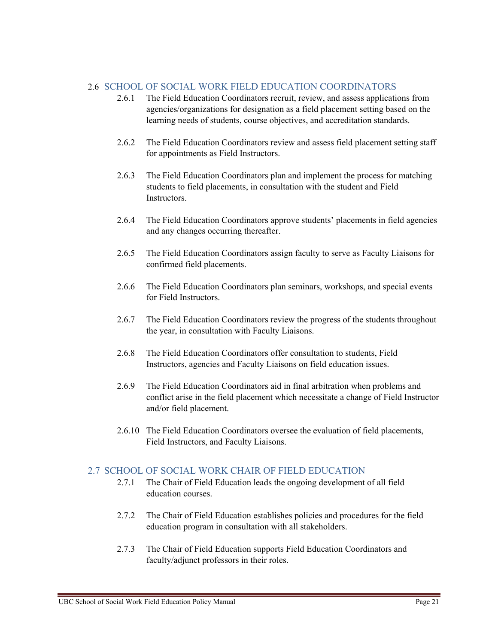#### 2.6 SCHOOL OF SOCIAL WORK FIELD EDUCATION COORDINATORS

- 2.6.1 The Field Education Coordinators recruit, review, and assess applications from agencies/organizations for designation as a field placement setting based on the learning needs of students, course objectives, and accreditation standards.
- 2.6.2 The Field Education Coordinators review and assess field placement setting staff for appointments as Field Instructors.
- 2.6.3 The Field Education Coordinators plan and implement the process for matching students to field placements, in consultation with the student and Field Instructors.
- 2.6.4 The Field Education Coordinators approve students' placements in field agencies and any changes occurring thereafter.
- 2.6.5 The Field Education Coordinators assign faculty to serve as Faculty Liaisons for confirmed field placements.
- 2.6.6 The Field Education Coordinators plan seminars, workshops, and special events for Field Instructors.
- 2.6.7 The Field Education Coordinators review the progress of the students throughout the year, in consultation with Faculty Liaisons.
- 2.6.8 The Field Education Coordinators offer consultation to students, Field Instructors, agencies and Faculty Liaisons on field education issues.
- 2.6.9 The Field Education Coordinators aid in final arbitration when problems and conflict arise in the field placement which necessitate a change of Field Instructor and/or field placement.
- 2.6.10 The Field Education Coordinators oversee the evaluation of field placements, Field Instructors, and Faculty Liaisons.

#### 2.7 SCHOOL OF SOCIAL WORK CHAIR OF FIELD EDUCATION

- 2.7.1 The Chair of Field Education leads the ongoing development of all field education courses.
- 2.7.2 The Chair of Field Education establishes policies and procedures for the field education program in consultation with all stakeholders.
- 2.7.3 The Chair of Field Education supports Field Education Coordinators and faculty/adjunct professors in their roles.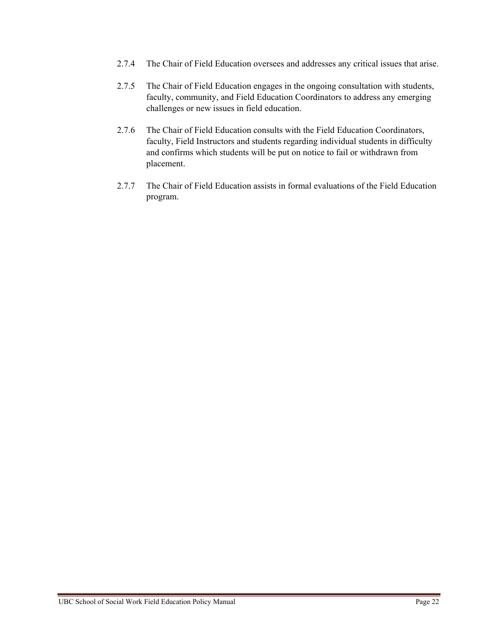- 2.7.4 The Chair of Field Education oversees and addresses any critical issues that arise.
- 2.7.5 The Chair of Field Education engages in the ongoing consultation with students, faculty, community, and Field Education Coordinators to address any emerging challenges or new issues in field education.
- 2.7.6 The Chair of Field Education consults with the Field Education Coordinators, faculty, Field Instructors and students regarding individual students in difficulty and confirms which students will be put on notice to fail or withdrawn from placement.
- 2.7.7 The Chair of Field Education assists in formal evaluations of the Field Education program.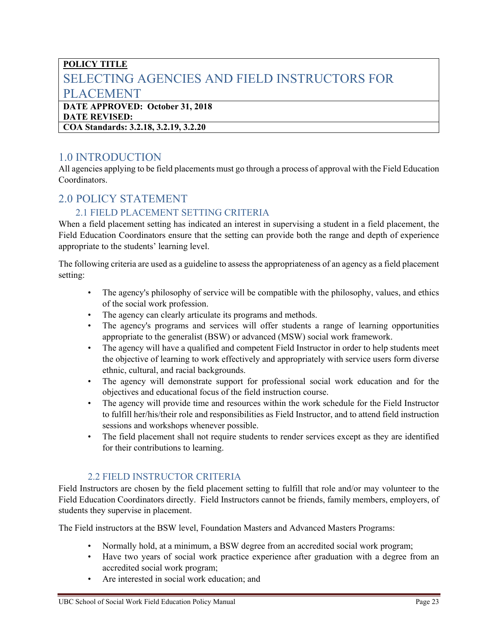## <span id="page-22-0"></span>**POLICY TITLE** SELECTING AGENCIES AND FIELD INSTRUCTORS FOR PLACEMENT **DATE APPROVED: October 31, 2018**

# **DATE REVISED:**

**COA Standards: 3.2.18, 3.2.19, 3.2.20**

## <span id="page-22-1"></span>1.0 INTRODUCTION

All agencies applying to be field placements must go through a process of approval with the Field Education Coordinators.

## <span id="page-22-2"></span>2.0 POLICY STATEMENT

#### 2.1 FIELD PLACEMENT SETTING CRITERIA

When a field placement setting has indicated an interest in supervising a student in a field placement, the Field Education Coordinators ensure that the setting can provide both the range and depth of experience appropriate to the students' learning level.

The following criteria are used as a guideline to assess the appropriateness of an agency as a field placement setting:

- The agency's philosophy of service will be compatible with the philosophy, values, and ethics of the social work profession.
- The agency can clearly articulate its programs and methods.
- The agency's programs and services will offer students a range of learning opportunities appropriate to the generalist (BSW) or advanced (MSW) social work framework.
- The agency will have a qualified and competent Field Instructor in order to help students meet the objective of learning to work effectively and appropriately with service users form diverse ethnic, cultural, and racial backgrounds.
- The agency will demonstrate support for professional social work education and for the objectives and educational focus of the field instruction course.
- The agency will provide time and resources within the work schedule for the Field Instructor to fulfill her/his/their role and responsibilities as Field Instructor, and to attend field instruction sessions and workshops whenever possible.
- The field placement shall not require students to render services except as they are identified for their contributions to learning.

#### 2.2 FIELD INSTRUCTOR CRITERIA

Field Instructors are chosen by the field placement setting to fulfill that role and/or may volunteer to the Field Education Coordinators directly. Field Instructors cannot be friends, family members, employers, of students they supervise in placement.

The Field instructors at the BSW level, Foundation Masters and Advanced Masters Programs:

- Normally hold, at a minimum, a BSW degree from an accredited social work program;
- Have two years of social work practice experience after graduation with a degree from an accredited social work program;
- Are interested in social work education; and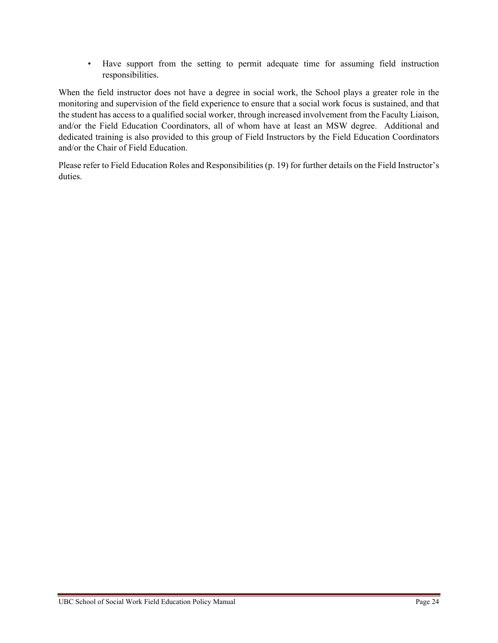• Have support from the setting to permit adequate time for assuming field instruction responsibilities.

When the field instructor does not have a degree in social work, the School plays a greater role in the monitoring and supervision of the field experience to ensure that a social work focus is sustained, and that the student has access to a qualified social worker, through increased involvement from the Faculty Liaison, and/or the Field Education Coordinators, all of whom have at least an MSW degree. Additional and dedicated training is also provided to this group of Field Instructors by the Field Education Coordinators and/or the Chair of Field Education.

Please refer to Field Education Roles and Responsibilities (p. 19) for further details on the Field Instructor's duties.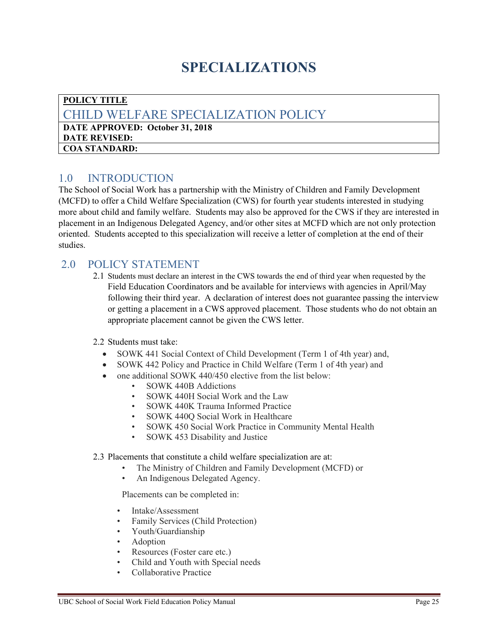## **SPECIALIZATIONS**

#### <span id="page-24-1"></span><span id="page-24-0"></span>**POLICY TITLE** CHILD WELFARE SPECIALIZATION POLICY **DATE APPROVED: October 31, 2018 DATE REVISED: COA STANDARD:**

### <span id="page-24-2"></span>1.0 INTRODUCTION

The School of Social Work has a partnership with the Ministry of Children and Family Development (MCFD) to offer a Child Welfare Specialization (CWS) for fourth year students interested in studying more about child and family welfare. Students may also be approved for the CWS if they are interested in placement in an Indigenous Delegated Agency, and/or other sites at MCFD which are not only protection oriented. Students accepted to this specialization will receive a letter of completion at the end of their studies.

### <span id="page-24-3"></span>2.0 POLICY STATEMENT

2.1 Students must declare an interest in the CWS towards the end of third year when requested by the Field Education Coordinators and be available for interviews with agencies in April/May following their third year. A declaration of interest does not guarantee passing the interview or getting a placement in a CWS approved placement. Those students who do not obtain an appropriate placement cannot be given the CWS letter.

#### 2.2 Students must take:

- SOWK 441 Social Context of Child Development (Term 1 of 4th year) and,
- SOWK 442 Policy and Practice in Child Welfare (Term 1 of 4th year) and
- one additional SOWK 440/450 elective from the list below:
	- SOWK 440B Addictions
	- SOWK 440H Social Work and the Law
	- SOWK 440K Trauma Informed Practice
	- SOWK 440Q Social Work in Healthcare
	- SOWK 450 Social Work Practice in Community Mental Health
	- SOWK 453 Disability and Justice

#### 2.3 Placements that constitute a child welfare specialization are at:

- The Ministry of Children and Family Development (MCFD) or
- An Indigenous Delegated Agency.

Placements can be completed in:

- Intake/Assessment
- Family Services (Child Protection)
- Youth/Guardianship
- Adoption
- Resources (Foster care etc.)
- Child and Youth with Special needs
- Collaborative Practice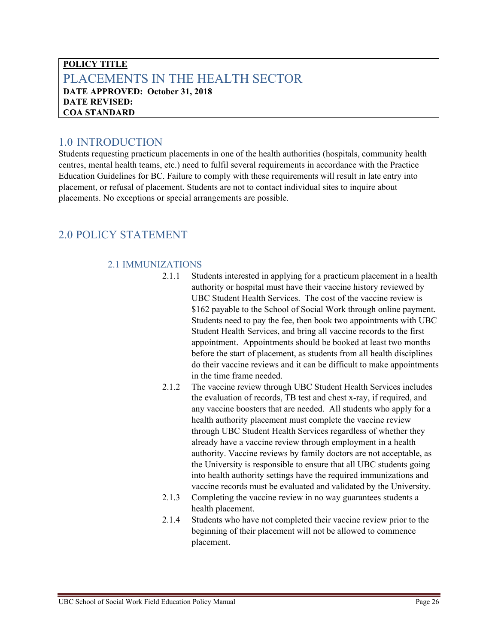### <span id="page-25-0"></span>**POLICY TITLE** PLACEMENTS IN THE HEALTH SECTOR **DATE APPROVED: October 31, 2018 DATE REVISED: COA STANDARD**

## <span id="page-25-1"></span>1.0 INTRODUCTION

Students requesting practicum placements in one of the health authorities (hospitals, community health centres, mental health teams, etc.) need to fulfil several requirements in accordance with the Practice Education Guidelines for BC. Failure to comply with these requirements will result in late entry into placement, or refusal of placement. Students are not to contact individual sites to inquire about placements. No exceptions or special arrangements are possible.

## <span id="page-25-2"></span>2.0 POLICY STATEMENT

#### 2.1 IMMUNIZATIONS

- 2.1.1 Students interested in applying for a practicum placement in a health authority or hospital must have their vaccine history reviewed by UBC Student Health Services. The cost of the vaccine review is \$162 payable to the School of Social Work through online payment. Students need to pay the fee, then book two appointments with UBC Student Health Services, and bring all vaccine records to the first appointment. Appointments should be booked at least two months before the start of placement, as students from all health disciplines do their vaccine reviews and it can be difficult to make appointments in the time frame needed.
- 2.1.2 The vaccine review through UBC Student Health Services includes the evaluation of records, TB test and chest x-ray, if required, and any vaccine boosters that are needed. All students who apply for a health authority placement must complete the vaccine review through UBC Student Health Services regardless of whether they already have a vaccine review through employment in a health authority. Vaccine reviews by family doctors are not acceptable, as the University is responsible to ensure that all UBC students going into health authority settings have the required immunizations and vaccine records must be evaluated and validated by the University.
- 2.1.3 Completing the vaccine review in no way guarantees students a health placement.
- 2.1.4 Students who have not completed their vaccine review prior to the beginning of their placement will not be allowed to commence placement.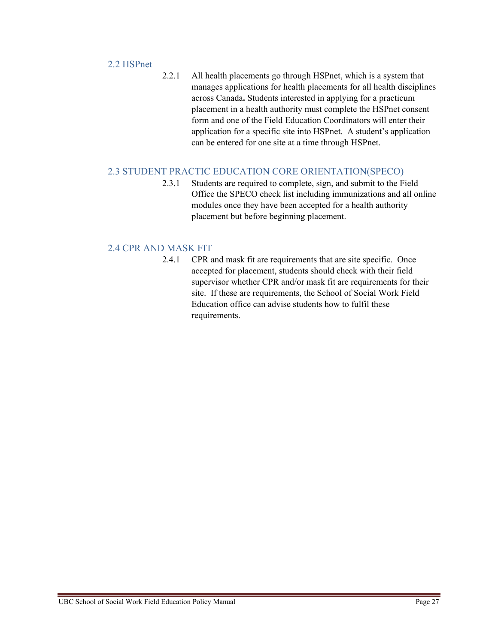#### 2.2 HSPnet

2.2.1 All health placements go through HSPnet, which is a system that manages applications for health placements for all health disciplines across Canada**.** Students interested in applying for a practicum placement in a health authority must complete the HSPnet consent form and one of the Field Education Coordinators will enter their application for a specific site into HSPnet. A student's application can be entered for one site at a time through HSPnet.

#### 2.3 STUDENT PRACTIC EDUCATION CORE ORIENTATION(SPECO)

2.3.1 Students are required to complete, sign, and submit to the Field Office the SPECO check list including immunizations and all online modules once they have been accepted for a health authority placement but before beginning placement.

#### 2.4 CPR AND MASK FIT

2.4.1 CPR and mask fit are requirements that are site specific. Once accepted for placement, students should check with their field supervisor whether CPR and/or mask fit are requirements for their site. If these are requirements, the School of Social Work Field Education office can advise students how to fulfil these requirements.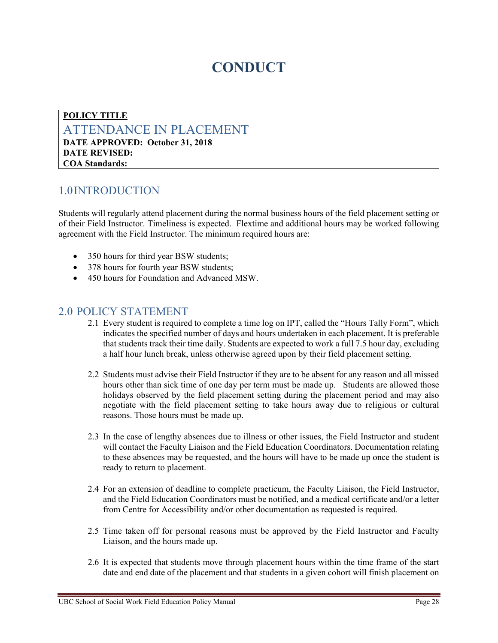## **CONDUCT**

#### <span id="page-27-1"></span><span id="page-27-0"></span>**POLICY TITLE** ATTENDANCE IN PLACEMENT **DATE APPROVED: October 31, 2018 DATE REVISED:**

#### **COA Standards:**

#### <span id="page-27-2"></span>1.0INTRODUCTION

Students will regularly attend placement during the normal business hours of the field placement setting or of their Field Instructor. Timeliness is expected. Flextime and additional hours may be worked following agreement with the Field Instructor. The minimum required hours are:

- 350 hours for third year BSW students;
- 378 hours for fourth year BSW students;
- 450 hours for Foundation and Advanced MSW.

- <span id="page-27-3"></span>2.1 Every student is required to complete a time log on IPT, called the "Hours Tally Form", which indicates the specified number of days and hours undertaken in each placement. It is preferable that students track their time daily. Students are expected to work a full 7.5 hour day, excluding a half hour lunch break, unless otherwise agreed upon by their field placement setting.
- 2.2 Students must advise their Field Instructor if they are to be absent for any reason and all missed hours other than sick time of one day per term must be made up. Students are allowed those holidays observed by the field placement setting during the placement period and may also negotiate with the field placement setting to take hours away due to religious or cultural reasons. Those hours must be made up.
- 2.3 In the case of lengthy absences due to illness or other issues, the Field Instructor and student will contact the Faculty Liaison and the Field Education Coordinators. Documentation relating to these absences may be requested, and the hours will have to be made up once the student is ready to return to placement.
- 2.4 For an extension of deadline to complete practicum, the Faculty Liaison, the Field Instructor, and the Field Education Coordinators must be notified, and a medical certificate and/or a letter from Centre for Accessibility and/or other documentation as requested is required.
- 2.5 Time taken off for personal reasons must be approved by the Field Instructor and Faculty Liaison, and the hours made up.
- 2.6 It is expected that students move through placement hours within the time frame of the start date and end date of the placement and that students in a given cohort will finish placement on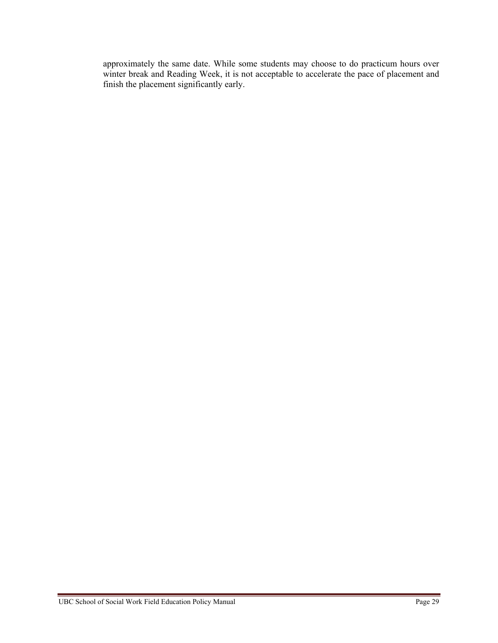approximately the same date. While some students may choose to do practicum hours over winter break and Reading Week, it is not acceptable to accelerate the pace of placement and finish the placement significantly early.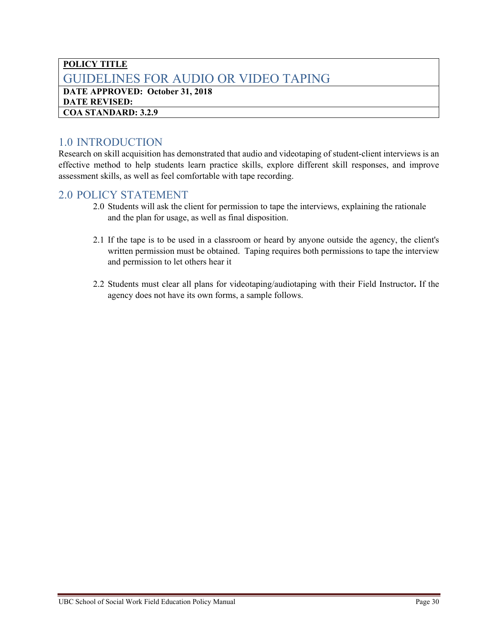#### <span id="page-29-0"></span>**POLICY TITLE** GUIDELINES FOR AUDIO OR VIDEO TAPING **DATE APPROVED: October 31, 2018 DATE REVISED: COA STANDARD: 3.2.9**

<span id="page-29-1"></span>1.0 INTRODUCTION<br>Research on skill acquisition has demonstrated that audio and videotaping of student-client interviews is an effective method to help students learn practice skills, explore different skill responses, and improve assessment skills, as well as feel comfortable with tape recording.

- <span id="page-29-2"></span>2.0 Students will ask the client for permission to tape the interviews, explaining the rationale and the plan for usage, as well as final disposition.
- 2.1 If the tape is to be used in a classroom or heard by anyone outside the agency, the client's written permission must be obtained. Taping requires both permissions to tape the interview and permission to let others hear it
- 2.2 Students must clear all plans for videotaping/audiotaping with their Field Instructor**.** If the agency does not have its own forms, a sample follows.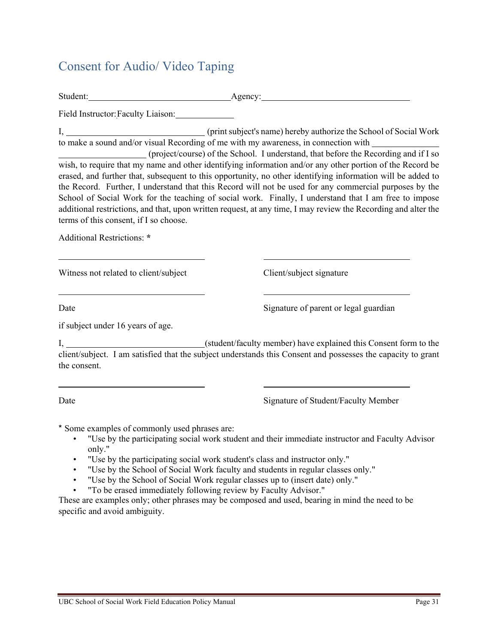## <span id="page-30-0"></span>Consent for Audio/ Video Taping

Student: Agency:

Field Instructor:Faculty Liaison:

I, (print subject's name) hereby authorize the School of Social Work to make a sound and/or visual Recording of me with my awareness, in connection with

 (project/course) of the School. I understand, that before the Recording and if I so wish, to require that my name and other identifying information and/or any other portion of the Record be erased, and further that, subsequent to this opportunity, no other identifying information will be added to the Record. Further, I understand that this Record will not be used for any commercial purposes by the School of Social Work for the teaching of social work. Finally, I understand that I am free to impose additional restrictions, and that, upon written request, at any time, I may review the Recording and alter the terms of this consent, if I so choose.

Additional Restrictions: **\*** 

Witness not related to client/subject Client/subject signature

Date Signature of parent or legal guardian

if subject under 16 years of age.

I, (student/faculty member) have explained this Consent form to the client/subject. I am satisfied that the subject understands this Consent and possesses the capacity to grant the consent.

 $\overline{a}$ 

Date Signature of Student/Faculty Member

\* Some examples of commonly used phrases are:

- "Use by the participating social work student and their immediate instructor and Faculty Advisor only."
- "Use by the participating social work student's class and instructor only."
- "Use by the School of Social Work faculty and students in regular classes only."
- "Use by the School of Social Work regular classes up to (insert date) only."
- "To be erased immediately following review by Faculty Advisor."

These are examples only; other phrases may be composed and used, bearing in mind the need to be specific and avoid ambiguity.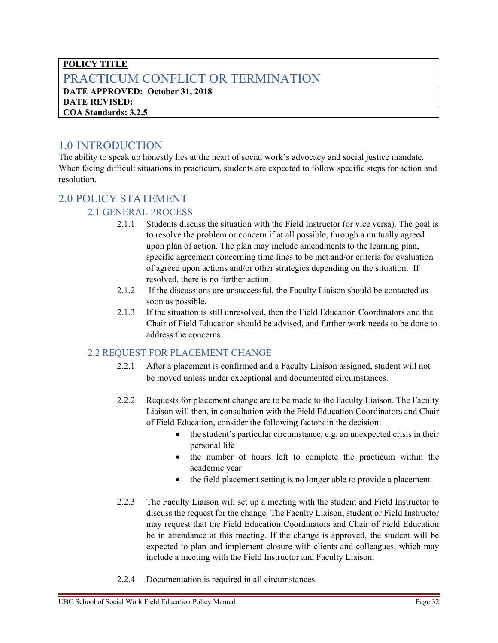### <span id="page-31-0"></span>**POLICY TITLE** PRACTICUM CONFLICT OR TERMINATION **DATE APPROVED: October 31, 2018**

**DATE REVISED:**

**COA Standards: 3.2.5**

## <span id="page-31-1"></span>1.0 INTRODUCTION

The ability to speak up honestly lies at the heart of social work's advocacy and social justice mandate. When facing difficult situations in practicum, students are expected to follow specific steps for action and resolution.

## <span id="page-31-2"></span>2.0 POLICY STATEMENT

#### 2.1 GENERAL PROCESS

- 2.1.1 Students discuss the situation with the Field Instructor (or vice versa). The goal is to resolve the problem or concern if at all possible, through a mutually agreed upon plan of action. The plan may include amendments to the learning plan, specific agreement concerning time lines to be met and/or criteria for evaluation of agreed upon actions and/or other strategies depending on the situation. If resolved, there is no further action.
- 2.1.2 If the discussions are unsuccessful, the Faculty Liaison should be contacted as soon as possible.
- 2.1.3 If the situation is still unresolved, then the Field Education Coordinators and the Chair of Field Education should be advised, and further work needs to be done to address the concerns.

### 2.2 REQUEST FOR PLACEMENT CHANGE

- 2.2.1 After a placement is confirmed and a Faculty Liaison assigned, student will not be moved unless under exceptional and documented circumstances.
- 2.2.2 Requests for placement change are to be made to the Faculty Liaison. The Faculty Liaison will then, in consultation with the Field Education Coordinators and Chair of Field Education, consider the following factors in the decision:
	- the student's particular circumstance, e.g. an unexpected crisis in their personal life
	- the number of hours left to complete the practicum within the academic year
	- the field placement setting is no longer able to provide a placement
- 2.2.3 The Faculty Liaison will set up a meeting with the student and Field Instructor to discuss the request for the change. The Faculty Liaison, student or Field Instructor may request that the Field Education Coordinators and Chair of Field Education be in attendance at this meeting. If the change is approved, the student will be expected to plan and implement closure with clients and colleagues, which may include a meeting with the Field Instructor and Faculty Liaison.
- 2.2.4 Documentation is required in all circumstances.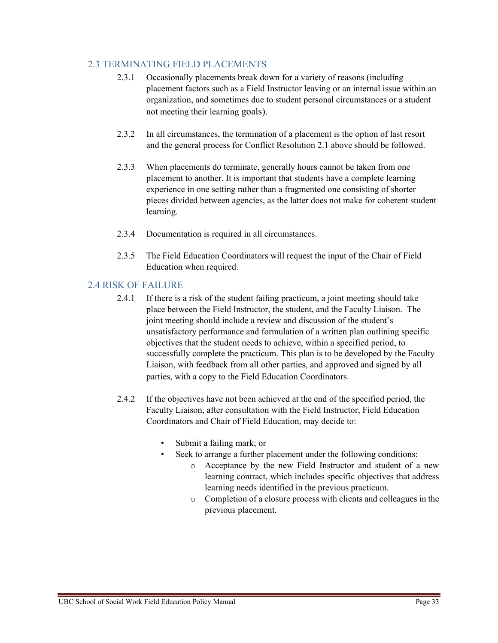#### 2.3 TERMINATING FIELD PLACEMENTS

- 2.3.1 Occasionally placements break down for a variety of reasons (including placement factors such as a Field Instructor leaving or an internal issue within an organization, and sometimes due to student personal circumstances or a student not meeting their learning goals).
- 2.3.2 In all circumstances, the termination of a placement is the option of last resort and the general process for Conflict Resolution 2.1 above should be followed.
- 2.3.3 When placements do terminate, generally hours cannot be taken from one placement to another. It is important that students have a complete learning experience in one setting rather than a fragmented one consisting of shorter pieces divided between agencies, as the latter does not make for coherent student learning.
- 2.3.4 Documentation is required in all circumstances.
- 2.3.5 The Field Education Coordinators will request the input of the Chair of Field Education when required.

#### 2.4 RISK OF FAILURE

- 2.4.1 If there is a risk of the student failing practicum, a joint meeting should take place between the Field Instructor, the student, and the Faculty Liaison. The joint meeting should include a review and discussion of the student's unsatisfactory performance and formulation of a written plan outlining specific objectives that the student needs to achieve, within a specified period, to successfully complete the practicum. This plan is to be developed by the Faculty Liaison, with feedback from all other parties, and approved and signed by all parties, with a copy to the Field Education Coordinators.
- 2.4.2 If the objectives have not been achieved at the end of the specified period, the Faculty Liaison, after consultation with the Field Instructor, Field Education Coordinators and Chair of Field Education, may decide to:
	- Submit a failing mark; or
	- Seek to arrange a further placement under the following conditions:
		- o Acceptance by the new Field Instructor and student of a new learning contract, which includes specific objectives that address learning needs identified in the previous practicum.
		- o Completion of a closure process with clients and colleagues in the previous placement.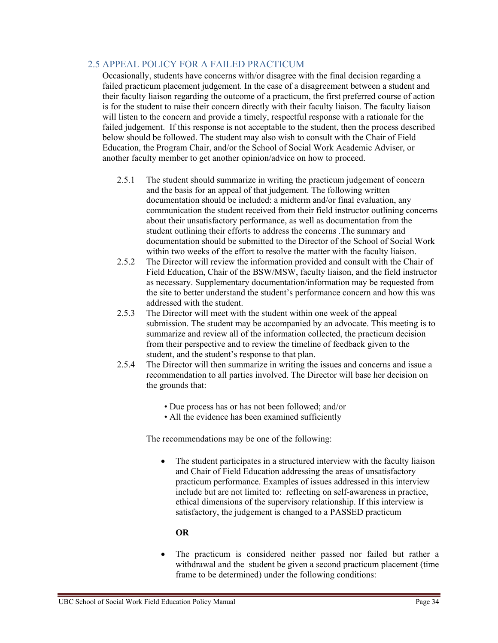#### 2.5 APPEAL POLICY FOR A FAILED PRACTICUM

Occasionally, students have concerns with/or disagree with the final decision regarding a failed practicum placement judgement. In the case of a disagreement between a student and their faculty liaison regarding the outcome of a practicum, the first preferred course of action is for the student to raise their concern directly with their faculty liaison. The faculty liaison will listen to the concern and provide a timely, respectful response with a rationale for the failed judgement. If this response is not acceptable to the student, then the process described below should be followed. The student may also wish to consult with the Chair of Field Education, the Program Chair, and/or the School of Social Work Academic Adviser, or another faculty member to get another opinion/advice on how to proceed.

- 2.5.1 The student should summarize in writing the practicum judgement of concern and the basis for an appeal of that judgement. The following written documentation should be included: a midterm and/or final evaluation, any communication the student received from their field instructor outlining concerns about their unsatisfactory performance, as well as documentation from the student outlining their efforts to address the concerns .The summary and documentation should be submitted to the Director of the School of Social Work within two weeks of the effort to resolve the matter with the faculty liaison.
- 2.5.2 The Director will review the information provided and consult with the Chair of Field Education, Chair of the BSW/MSW, faculty liaison, and the field instructor as necessary. Supplementary documentation/information may be requested from the site to better understand the student's performance concern and how this was addressed with the student.
- 2.5.3 The Director will meet with the student within one week of the appeal submission. The student may be accompanied by an advocate. This meeting is to summarize and review all of the information collected, the practicum decision from their perspective and to review the timeline of feedback given to the student, and the student's response to that plan.
- 2.5.4 The Director will then summarize in writing the issues and concerns and issue a recommendation to all parties involved. The Director will base her decision on the grounds that:
	- Due process has or has not been followed; and/or
	- All the evidence has been examined sufficiently

The recommendations may be one of the following:

• The student participates in a structured interview with the faculty liaison and Chair of Field Education addressing the areas of unsatisfactory practicum performance. Examples of issues addressed in this interview include but are not limited to: reflecting on self-awareness in practice, ethical dimensions of the supervisory relationship. If this interview is satisfactory, the judgement is changed to a PASSED practicum

#### **OR**

• The practicum is considered neither passed nor failed but rather a withdrawal and the student be given a second practicum placement (time frame to be determined) under the following conditions: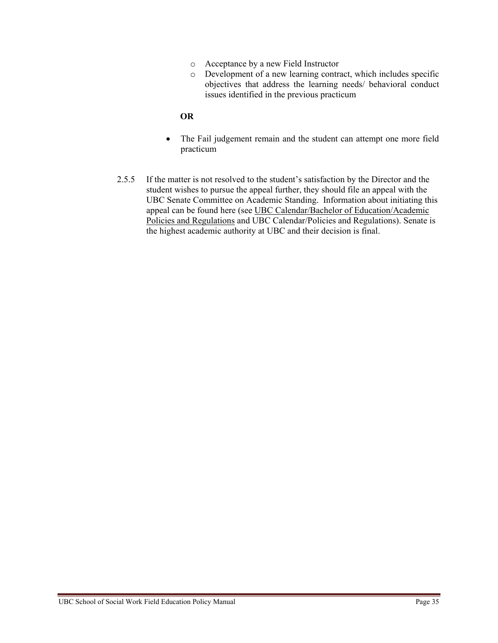- o Acceptance by a new Field Instructor
- o Development of a new learning contract, which includes specific objectives that address the learning needs/ behavioral conduct issues identified in the previous practicum

#### **OR**

- The Fail judgement remain and the student can attempt one more field practicum
- 2.5.5 If the matter is not resolved to the student's satisfaction by the Director and the student wishes to pursue the appeal further, they should file an appeal with the UBC Senate Committee on Academic Standing. Information about initiating this appeal can be found here (see [UBC Calendar/Bachelor of Education/Academic](http://www.calendar.ubc.ca/vancouver/index.cfm?tree=12,202,320,160)  [Policies and Regulations](http://www.calendar.ubc.ca/vancouver/index.cfm?tree=12,202,320,160) and [UBC Calendar/Policies and Regulations\)](http://www.calendar.ubc.ca/vancouver/index.cfm?tree=3,0,0,0). Senate is the highest academic authority at UBC and their decision is final.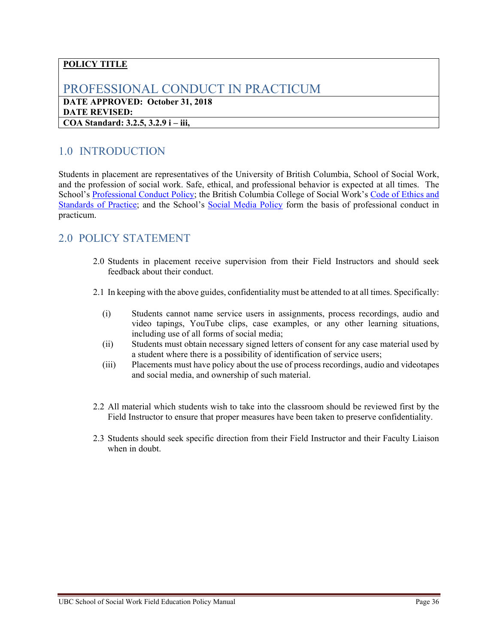## <span id="page-35-0"></span>PROFESSIONAL CONDUCT IN PRACTICUM

**DATE APPROVED: October 31, 2018 DATE REVISED: COA Standard: 3.2.5, 3.2.9 i – iii,** 

## <span id="page-35-1"></span>1.0 INTRODUCTION

Students in placement are representatives of the University of British Columbia, School of Social Work, and the profession of social work. Safe, ethical, and professional behavior is expected at all times. The School's [Professional Conduct Policy;](https://schoolofsocialwork.sites.olt.ubc.ca/files/2014/07/Professional-Conduct-for-Social-Work-Students.pdf) the British Columbia College of Social Work's [Code of Ethics and](http://www.bccollegeofsocialworkers.ca/registrants/code-of-ethics-and-standards-of-practice/)  [Standards of Practice;](http://www.bccollegeofsocialworkers.ca/registrants/code-of-ethics-and-standards-of-practice/) and the School's [Social Media Policy](https://schoolofsocialwork.sites.olt.ubc.ca/files/2014/07/Social-Media-Policy_Final-Oct-2014.pdf) form the basis of professional conduct in practicum.

- <span id="page-35-2"></span>2.0 Students in placement receive supervision from their Field Instructors and should seek feedback about their conduct.
- 2.1 In keeping with the above guides, confidentiality must be attended to at all times. Specifically:
	- (i) Students cannot name service users in assignments, process recordings, audio and video tapings, YouTube clips, case examples, or any other learning situations, including use of all forms of social media;
	- (ii) Students must obtain necessary signed letters of consent for any case material used by a student where there is a possibility of identification of service users;
	- (iii) Placements must have policy about the use of process recordings, audio and videotapes and social media, and ownership of such material.
- 2.2 All material which students wish to take into the classroom should be reviewed first by the Field Instructor to ensure that proper measures have been taken to preserve confidentiality.
- 2.3 Students should seek specific direction from their Field Instructor and their Faculty Liaison when in doubt.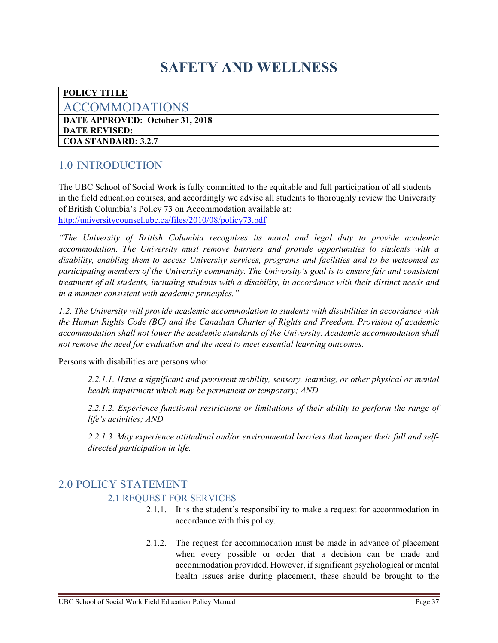## **SAFETY AND WELLNESS**

#### <span id="page-36-0"></span>**POLICY TITLE**

#### <span id="page-36-1"></span>ACCOMMODATIONS

**DATE APPROVED: October 31, 2018 DATE REVISED: COA STANDARD: 3.2.7** 

## <span id="page-36-2"></span>1.0 INTRODUCTION

The UBC School of Social Work is fully committed to the equitable and full participation of all students in the field education courses, and accordingly we advise all students to thoroughly review the University of British Columbia's Policy 73 on Accommodation available at: <http://universitycounsel.ubc.ca/files/2010/08/policy73.pdf>

*"The University of British Columbia recognizes its moral and legal duty to provide academic accommodation. The University must remove barriers and provide opportunities to students with a disability, enabling them to access University services, programs and facilities and to be welcomed as participating members of the University community. The University's goal is to ensure fair and consistent treatment of all students, including students with a disability, in accordance with their distinct needs and in a manner consistent with academic principles."* 

*1.2. The University will provide academic accommodation to students with disabilities in accordance with the Human Rights Code (BC) and the Canadian Charter of Rights and Freedom. Provision of academic accommodation shall not lower the academic standards of the University. Academic accommodation shall not remove the need for evaluation and the need to meet essential learning outcomes.* 

Persons with disabilities are persons who:

*2.2.1.1. Have a significant and persistent mobility, sensory, learning, or other physical or mental health impairment which may be permanent or temporary; AND*

*2.2.1.2. Experience functional restrictions or limitations of their ability to perform the range of life's activities; AND*

*2.2.1.3. May experience attitudinal and/or environmental barriers that hamper their full and selfdirected participation in life.*

## <span id="page-36-3"></span>2.0 POLICY STATEMENT 2.1 REQUEST FOR SERVICES

- 2.1.1. It is the student's responsibility to make a request for accommodation in accordance with this policy.
- 2.1.2. The request for accommodation must be made in advance of placement when every possible or order that a decision can be made and accommodation provided. However, if significant psychological or mental health issues arise during placement, these should be brought to the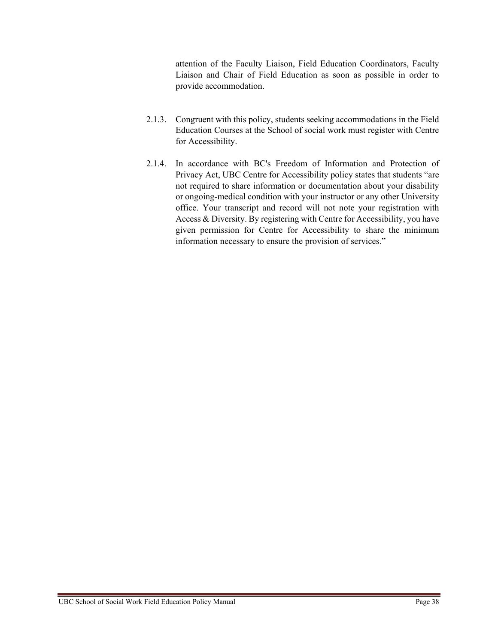attention of the Faculty Liaison, Field Education Coordinators, Faculty Liaison and Chair of Field Education as soon as possible in order to provide accommodation.

- 2.1.3. Congruent with this policy, students seeking accommodations in the Field Education Courses at the School of social work must register with Centre for Accessibility.
- 2.1.4. In accordance with BC's Freedom of Information and Protection of Privacy Act, UBC Centre for Accessibility policy states that students "are not required to share information or documentation about your disability or ongoing-medical condition with your instructor or any other University office. Your transcript and record will not note your registration with Access & Diversity. By registering with Centre for Accessibility, you have given permission for Centre for Accessibility to share the minimum information necessary to ensure the provision of services."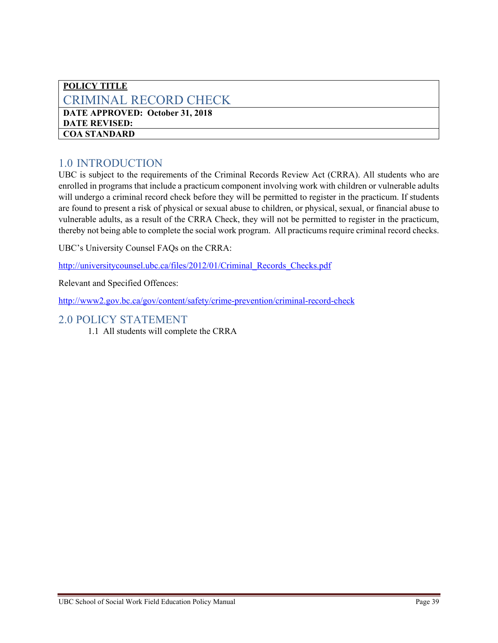#### <span id="page-38-0"></span>**POLICY TITLE** CRIMINAL RECORD CHECK **DATE APPROVED: October 31, 2018 DATE REVISED: COA STANDARD**

## <span id="page-38-1"></span>1.0 INTRODUCTION

UBC is subject to the requirements of the Criminal Records Review Act (CRRA). All students who are enrolled in programs that include a practicum component involving work with children or vulnerable adults will undergo a criminal record check before they will be permitted to register in the practicum. If students are found to present a risk of physical or sexual abuse to children, or physical, sexual, or financial abuse to vulnerable adults, as a result of the CRRA Check, they will not be permitted to register in the practicum, thereby not being able to complete the social work program. All practicums require criminal record checks.

UBC's University Counsel FAQs on the CRRA:

[http://universitycounsel.ubc.ca/files/2012/01/Criminal\\_Records\\_Checks.pdf](http://universitycounsel.ubc.ca/files/2012/01/Criminal_Records_Checks.pdf)

Relevant and Specified Offences:

<http://www2.gov.bc.ca/gov/content/safety/crime-prevention/criminal-record-check>

#### <span id="page-38-2"></span>2.0 POLICY STATEMENT

1.1 All students will complete the CRRA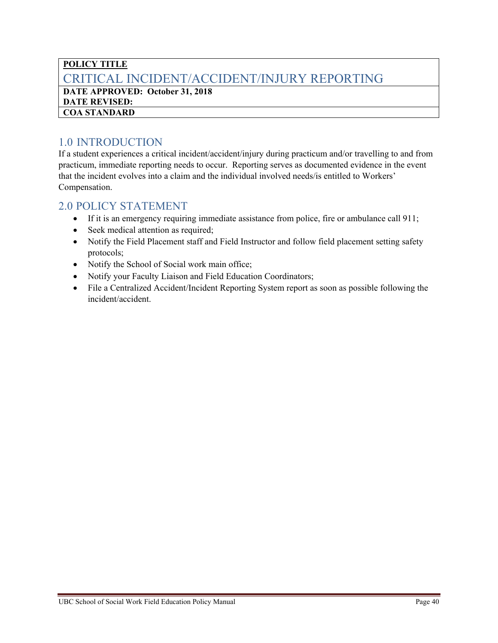### <span id="page-39-0"></span>**POLICY TITLE** CRITICAL INCIDENT/ACCIDENT/INJURY REPORTING **DATE APPROVED: October 31, 2018**

**DATE REVISED: COA STANDARD** 

## <span id="page-39-1"></span>1.0 INTRODUCTION

If a student experiences a critical incident/accident/injury during practicum and/or travelling to and from practicum, immediate reporting needs to occur. Reporting serves as documented evidence in the event that the incident evolves into a claim and the individual involved needs/is entitled to Workers' Compensation.

- <span id="page-39-2"></span>• If it is an emergency requiring immediate assistance from police, fire or ambulance call 911;
- Seek medical attention as required;
- Notify the Field Placement staff and Field Instructor and follow field placement setting safety protocols;
- Notify the School of Social work main office;
- Notify your Faculty Liaison and Field Education Coordinators;
- File a Centralized Accident/Incident Reporting System report as soon as possible following the incident/accident.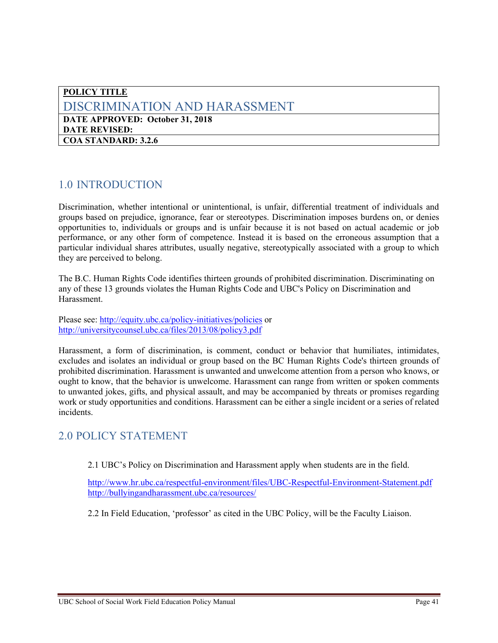#### <span id="page-40-0"></span>**POLICY TITLE** DISCRIMINATION AND HARASSMENT **DATE APPROVED: October 31, 2018 DATE REVISED: COA STANDARD: 3.2.6**

## <span id="page-40-1"></span>1.0 INTRODUCTION

Discrimination, whether intentional or unintentional, is unfair, differential treatment of individuals and groups based on prejudice, ignorance, fear or stereotypes. Discrimination imposes burdens on, or denies opportunities to, individuals or groups and is unfair because it is not based on actual academic or job performance, or any other form of competence. Instead it is based on the erroneous assumption that a particular individual shares attributes, usually negative, stereotypically associated with a group to which they are perceived to belong.

The B.C. Human Rights Code identifies thirteen grounds of prohibited discrimination. Discriminating on any of these 13 grounds violates the Human Rights Code and UBC's Policy on Discrimination and Harassment.

Please see:<http://equity.ubc.ca/policy-initiatives/policies> or <http://universitycounsel.ubc.ca/files/2013/08/policy3.pdf>

Harassment, a form of discrimination, is comment, conduct or behavior that humiliates, intimidates, excludes and isolates an individual or group based on the BC Human Rights Code's thirteen grounds of prohibited discrimination. Harassment is unwanted and unwelcome attention from a person who knows, or ought to know, that the behavior is unwelcome. Harassment can range from written or spoken comments to unwanted jokes, gifts, and physical assault, and may be accompanied by threats or promises regarding work or study opportunities and conditions. Harassment can be either a single incident or a series of related incidents.

## <span id="page-40-2"></span>2.0 POLICY STATEMENT

2.1 UBC's Policy on Discrimination and Harassment apply when students are in the field.

<http://www.hr.ubc.ca/respectful-environment/files/UBC-Respectful-Environment-Statement.pdf> <http://bullyingandharassment.ubc.ca/resources/>

2.2 In Field Education, 'professor' as cited in the UBC Policy, will be the Faculty Liaison.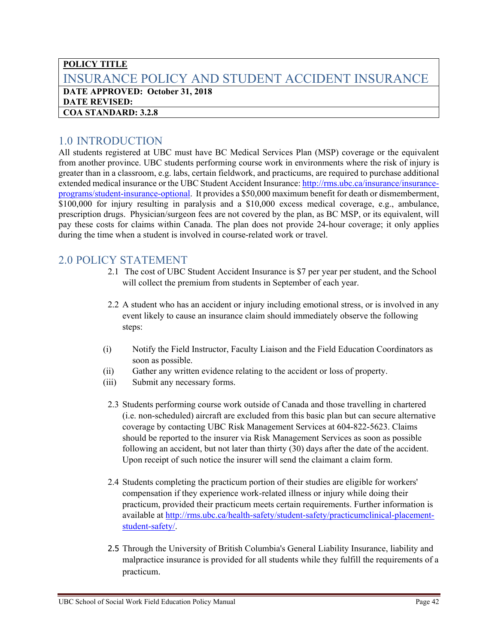## <span id="page-41-0"></span>**POLICY TITLE** INSURANCE POLICY AND STUDENT ACCIDENT INSURANCE **DATE APPROVED: October 31, 2018 DATE REVISED: COA STANDARD: 3.2.8**

## <span id="page-41-1"></span>1.0 INTRODUCTION

All students registered at UBC must have BC Medical Services Plan (MSP) coverage or the equivalent from another province. UBC students performing course work in environments where the risk of injury is greater than in a classroom, e.g. labs, certain fieldwork, and practicums, are required to purchase additional extended medical insurance or the UBC Student Accident Insurance: [http://rms.ubc.ca/insurance/insurance](http://rms.ubc.ca/insurance/insurance-programs/student-insurance-optional)[programs/student-insurance-optional.](http://rms.ubc.ca/insurance/insurance-programs/student-insurance-optional) It provides a \$50,000 maximum benefit for death or dismemberment, \$100,000 for injury resulting in paralysis and a \$10,000 excess medical coverage, e.g., ambulance, prescription drugs. Physician/surgeon fees are not covered by the plan, as BC MSP, or its equivalent, will pay these costs for claims within Canada. The plan does not provide 24-hour coverage; it only applies during the time when a student is involved in course-related work or travel.

- <span id="page-41-2"></span>2.1 The cost of UBC Student Accident Insurance is \$7 per year per student, and the School will collect the premium from students in September of each year.
- 2.2 A student who has an accident or injury including emotional stress, or is involved in any event likely to cause an insurance claim should immediately observe the following steps:
- (i) Notify the Field Instructor, Faculty Liaison and the Field Education Coordinators as soon as possible.
- (ii) Gather any written evidence relating to the accident or loss of property.
- (iii) Submit any necessary forms.
- 2.3 Students performing course work outside of Canada and those travelling in chartered (i.e. non-scheduled) aircraft are excluded from this basic plan but can secure alternative coverage by contacting UBC Risk Management Services at 604-822-5623. Claims should be reported to the insurer via Risk Management Services as soon as possible following an accident, but not later than thirty (30) days after the date of the accident. Upon receipt of such notice the insurer will send the claimant a claim form.
- 2.4 Students completing the practicum portion of their studies are eligible for workers' compensation if they experience work-related illness or injury while doing their practicum, provided their practicum meets certain requirements. Further information is available at [http://rms.ubc.ca/health-safety/student-safety/practicumclinical-placement](http://rms.ubc.ca/health-safety/student-safety/practicumclinical-placement-student-safety/)[student-safety/.](http://rms.ubc.ca/health-safety/student-safety/practicumclinical-placement-student-safety/)
- 2.5 Through the University of British Columbia's General Liability Insurance, liability and malpractice insurance is provided for all students while they fulfill the requirements of a practicum.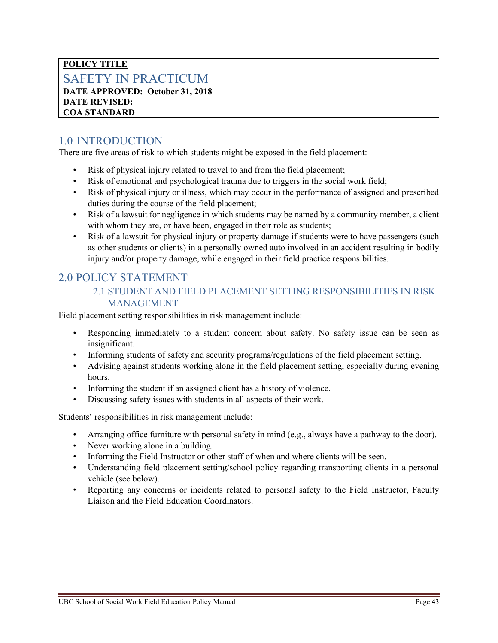### <span id="page-42-0"></span>**POLICY TITLE** SAFETY IN PRACTICUM

**DATE APPROVED: October 31, 2018 DATE REVISED: COA STANDARD** 

## <span id="page-42-1"></span>1.0 INTRODUCTION

There are five areas of risk to which students might be exposed in the field placement:

- Risk of physical injury related to travel to and from the field placement;
- Risk of emotional and psychological trauma due to triggers in the social work field;
- Risk of physical injury or illness, which may occur in the performance of assigned and prescribed duties during the course of the field placement;
- Risk of a lawsuit for negligence in which students may be named by a community member, a client with whom they are, or have been, engaged in their role as students;
- Risk of a lawsuit for physical injury or property damage if students were to have passengers (such as other students or clients) in a personally owned auto involved in an accident resulting in bodily injury and/or property damage, while engaged in their field practice responsibilities.

## <span id="page-42-2"></span>2.0 POLICY STATEMENT

#### 2.1 STUDENT AND FIELD PLACEMENT SETTING RESPONSIBILITIES IN RISK MANAGEMENT

Field placement setting responsibilities in risk management include:

- Responding immediately to a student concern about safety. No safety issue can be seen as insignificant.
- Informing students of safety and security programs/regulations of the field placement setting.
- Advising against students working alone in the field placement setting, especially during evening hours.
- Informing the student if an assigned client has a history of violence.
- Discussing safety issues with students in all aspects of their work.

Students' responsibilities in risk management include:

- Arranging office furniture with personal safety in mind (e.g., always have a pathway to the door).
- Never working alone in a building.
- Informing the Field Instructor or other staff of when and where clients will be seen.
- Understanding field placement setting/school policy regarding transporting clients in a personal vehicle (see below).
- Reporting any concerns or incidents related to personal safety to the Field Instructor, Faculty Liaison and the Field Education Coordinators.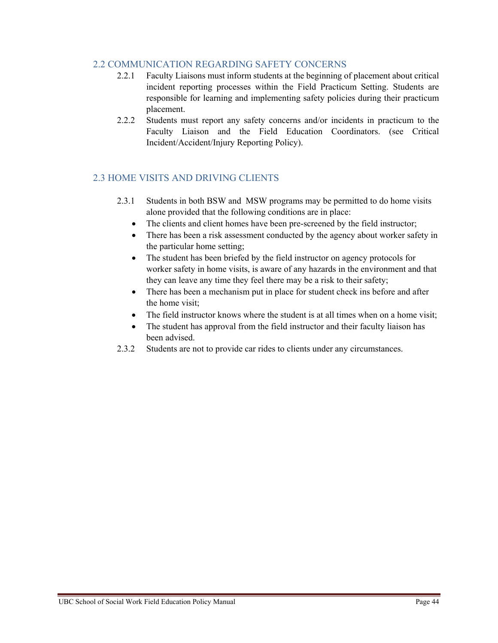#### 2.2 COMMUNICATION REGARDING SAFETY CONCERNS

- 2.2.1 Faculty Liaisons must inform students at the beginning of placement about critical incident reporting processes within the Field Practicum Setting. Students are responsible for learning and implementing safety policies during their practicum placement.
- 2.2.2 Students must report any safety concerns and/or incidents in practicum to the Faculty Liaison and the Field Education Coordinators. (see Critical Incident/Accident/Injury Reporting Policy).

#### 2.3 HOME VISITS AND DRIVING CLIENTS

- 2.3.1 Students in both BSW and MSW programs may be permitted to do home visits alone provided that the following conditions are in place:
	- The clients and client homes have been pre-screened by the field instructor;
	- There has been a risk assessment conducted by the agency about worker safety in the particular home setting;
	- The student has been briefed by the field instructor on agency protocols for worker safety in home visits, is aware of any hazards in the environment and that they can leave any time they feel there may be a risk to their safety;
	- There has been a mechanism put in place for student check ins before and after the home visit;
	- The field instructor knows where the student is at all times when on a home visit;
	- The student has approval from the field instructor and their faculty liaison has been advised.
- 2.3.2 Students are not to provide car rides to clients under any circumstances.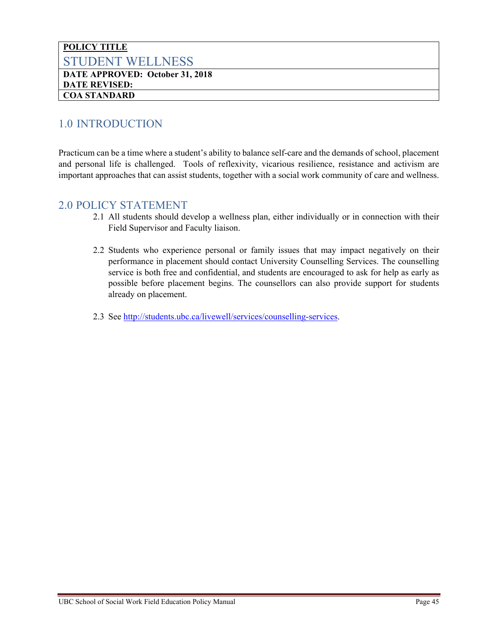#### <span id="page-44-0"></span>**POLICY TITLE** STUDENT WELLNESS **DATE APPROVED: October 31, 2018 DATE REVISED: COA STANDARD**

## <span id="page-44-1"></span>1.0 INTRODUCTION

Practicum can be a time where a student's ability to balance self-care and the demands of school, placement and personal life is challenged. Tools of reflexivity, vicarious resilience, resistance and activism are important approaches that can assist students, together with a social work community of care and wellness.

- <span id="page-44-2"></span>2.1 All students should develop a wellness plan, either individually or in connection with their Field Supervisor and Faculty liaison.
- 2.2 Students who experience personal or family issues that may impact negatively on their performance in placement should contact University Counselling Services. The counselling service is both free and confidential, and students are encouraged to ask for help as early as possible before placement begins. The counsellors can also provide support for students already on placement.
- 2.3 See [http://students.ubc.ca/livewell/services/counselling-services.](http://students.ubc.ca/livewell/services/counselling-services)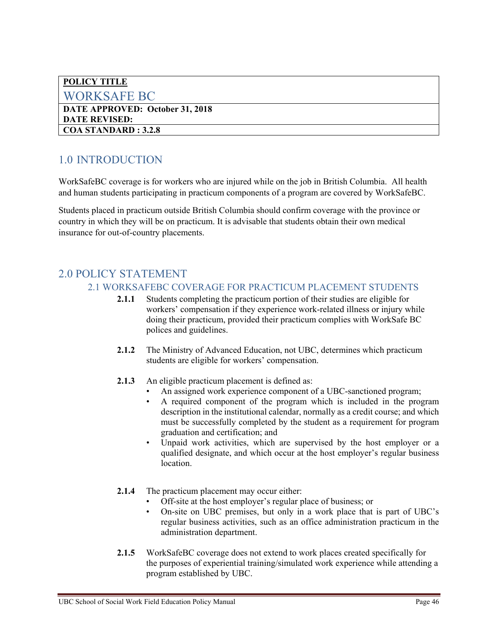<span id="page-45-0"></span>

| <b>POLICY TITLE</b>               |  |
|-----------------------------------|--|
| <b>WORKSAFE BC</b>                |  |
| DATE APPROVED: October 31, 2018   |  |
| <b>  DATE REVISED:</b>            |  |
| $\overline{COA}$ STANDARD : 3.2.8 |  |

## <span id="page-45-1"></span>1.0 INTRODUCTION

WorkSafeBC coverage is for workers who are injured while on the job in British Columbia. All health and human students participating in practicum components of a program are covered by WorkSafeBC.

Students placed in practicum outside British Columbia should confirm coverage with the province or country in which they will be on practicum. It is advisable that students obtain their own medical insurance for out-of-country placements.

## <span id="page-45-2"></span>2.0 POLICY STATEMENT

#### 2.1 WORKSAFEBC COVERAGE FOR PRACTICUM PLACEMENT STUDENTS

- **2.1.1** Students completing the practicum portion of their studies are eligible for workers' compensation if they experience work-related illness or injury while doing their practicum, provided their practicum complies with WorkSafe BC polices and guidelines.
- **2.1.2** The Ministry of Advanced Education, not UBC, determines which practicum students are eligible for workers' compensation.
- **2.1.3** An eligible practicum placement is defined as:
	- An assigned work experience component of a UBC-sanctioned program;
	- A required component of the program which is included in the program description in the institutional calendar, normally as a credit course; and which must be successfully completed by the student as a requirement for program graduation and certification; and
	- Unpaid work activities, which are supervised by the host employer or a qualified designate, and which occur at the host employer's regular business location.
- **2.1.4** The practicum placement may occur either:
	- Off-site at the host employer's regular place of business; or
	- On-site on UBC premises, but only in a work place that is part of UBC's regular business activities, such as an office administration practicum in the administration department.
- **2.1.5** WorkSafeBC coverage does not extend to work places created specifically for the purposes of experiential training/simulated work experience while attending a program established by UBC.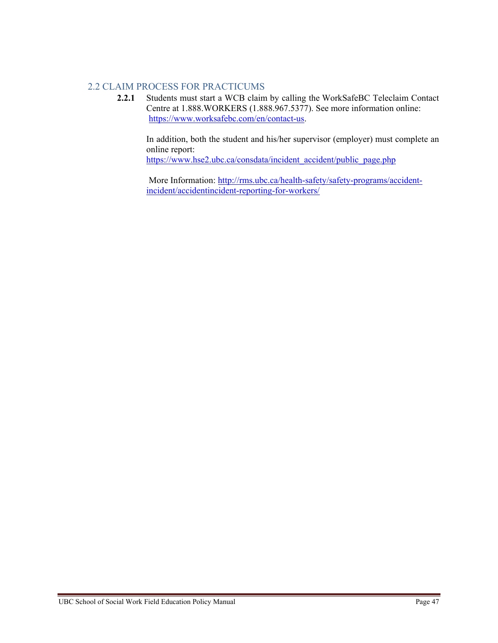#### 2.2 CLAIM PROCESS FOR PRACTICUMS

**2.2.1** Students must start a WCB claim by calling the WorkSafeBC Teleclaim Contact Centre at 1.888.WORKERS (1.888.967.5377). See more information online: [https://www.worksafebc.com/en/contact-us.](https://www.worksafebc.com/en/contact-us)

In addition, both the student and his/her supervisor (employer) must complete an online report:

[https://www.hse2.ubc.ca/consdata/incident\\_accident/public\\_page.php](https://www.hse2.ubc.ca/consdata/incident_accident/public_page.php)

More Information: [http://rms.ubc.ca/health-safety/safety-programs/accident](http://rms.ubc.ca/health-safety/safety-programs/accident-incident/accidentincident-reporting-for-workers/)[incident/accidentincident-reporting-for-workers/](http://rms.ubc.ca/health-safety/safety-programs/accident-incident/accidentincident-reporting-for-workers/)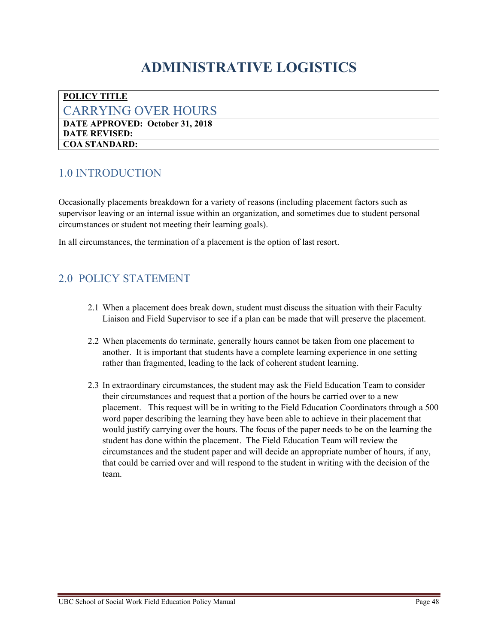## **ADMINISTRATIVE LOGISTICS**

#### <span id="page-47-1"></span><span id="page-47-0"></span>**POLICY TITLE** CARRYING OVER HOURS **DATE APPROVED: October 31, 2018 DATE REVISED: COA STANDARD:**

## <span id="page-47-2"></span>1.0 INTRODUCTION

Occasionally placements breakdown for a variety of reasons (including placement factors such as supervisor leaving or an internal issue within an organization, and sometimes due to student personal circumstances or student not meeting their learning goals).

In all circumstances, the termination of a placement is the option of last resort.

- <span id="page-47-3"></span>2.1 When a placement does break down, student must discuss the situation with their Faculty Liaison and Field Supervisor to see if a plan can be made that will preserve the placement.
- 2.2 When placements do terminate, generally hours cannot be taken from one placement to another. It is important that students have a complete learning experience in one setting rather than fragmented, leading to the lack of coherent student learning.
- 2.3 In extraordinary circumstances, the student may ask the Field Education Team to consider their circumstances and request that a portion of the hours be carried over to a new placement. This request will be in writing to the Field Education Coordinators through a 500 word paper describing the learning they have been able to achieve in their placement that would justify carrying over the hours. The focus of the paper needs to be on the learning the student has done within the placement. The Field Education Team will review the circumstances and the student paper and will decide an appropriate number of hours, if any, that could be carried over and will respond to the student in writing with the decision of the team.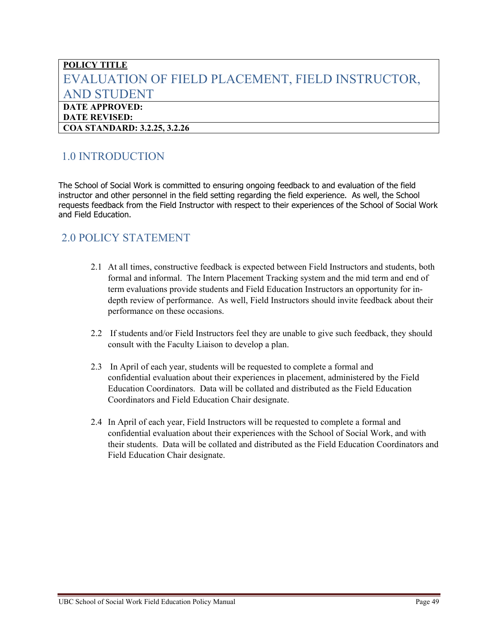## <span id="page-48-0"></span>**POLICY TITLE** EVALUATION OF FIELD PLACEMENT, FIELD INSTRUCTOR, AND STUDENT **DATE APPROVED: DATE REVISED:**

**COA STANDARD: 3.2.25, 3.2.26**

## <span id="page-48-1"></span>1.0 INTRODUCTION

The School of Social Work is committed to ensuring ongoing feedback to and evaluation of the field instructor and other personnel in the field setting regarding the field experience. As well, the School requests feedback from the Field Instructor with respect to their experiences of the School of Social Work and Field Education.

- <span id="page-48-2"></span>2.1 At all times, constructive feedback is expected between Field Instructors and students, both formal and informal. The Intern Placement Tracking system and the mid term and end of term evaluations provide students and Field Education Instructors an opportunity for indepth review of performance. As well, Field Instructors should invite feedback about their performance on these occasions.
- 2.2 If students and/or Field Instructors feel they are unable to give such feedback, they should consult with the Faculty Liaison to develop a plan.
- 2.3 In April of each year, students will be requested to complete a formal and confidential evaluation about their experiences in placement, administered by the Field Education Coordinators. Data will be collated and distributed as the Field Education Coordinators and Field Education Chair designate.
- 2.4 In April of each year, Field Instructors will be requested to complete a formal and confidential evaluation about their experiences with the School of Social Work, and with their students. Data will be collated and distributed as the Field Education Coordinators and Field Education Chair designate.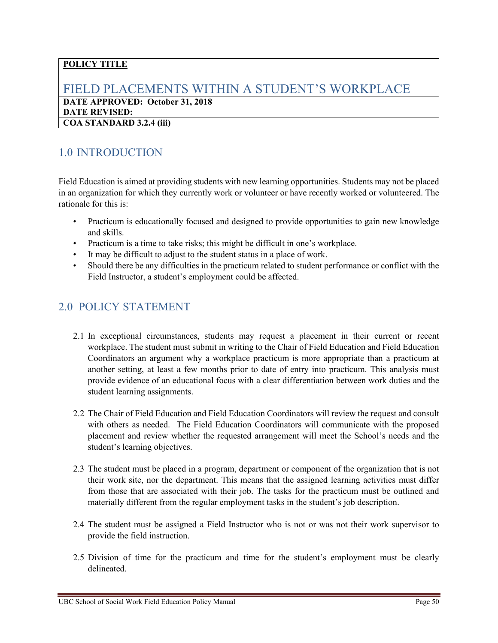### <span id="page-49-0"></span>FIELD PLACEMENTS WITHIN A STUDENT'S WORKPLACE **DATE APPROVED: October 31, 2018 DATE REVISED: COA STANDARD 3.2.4 (iii)**

## <span id="page-49-1"></span>1.0 INTRODUCTION

Field Education is aimed at providing students with new learning opportunities. Students may not be placed in an organization for which they currently work or volunteer or have recently worked or volunteered. The rationale for this is:

- Practicum is educationally focused and designed to provide opportunities to gain new knowledge and skills.
- Practicum is a time to take risks; this might be difficult in one's workplace.
- It may be difficult to adjust to the student status in a place of work.
- Should there be any difficulties in the practicum related to student performance or conflict with the Field Instructor, a student's employment could be affected.

- <span id="page-49-2"></span>2.1 In exceptional circumstances, students may request a placement in their current or recent workplace. The student must submit in writing to the Chair of Field Education and Field Education Coordinators an argument why a workplace practicum is more appropriate than a practicum at another setting, at least a few months prior to date of entry into practicum. This analysis must provide evidence of an educational focus with a clear differentiation between work duties and the student learning assignments.
- 2.2 The Chair of Field Education and Field Education Coordinators will review the request and consult with others as needed. The Field Education Coordinators will communicate with the proposed placement and review whether the requested arrangement will meet the School's needs and the student's learning objectives.
- 2.3 The student must be placed in a program, department or component of the organization that is not their work site, nor the department. This means that the assigned learning activities must differ from those that are associated with their job. The tasks for the practicum must be outlined and materially different from the regular employment tasks in the student's job description.
- 2.4 The student must be assigned a Field Instructor who is not or was not their work supervisor to provide the field instruction.
- 2.5 Division of time for the practicum and time for the student's employment must be clearly delineated.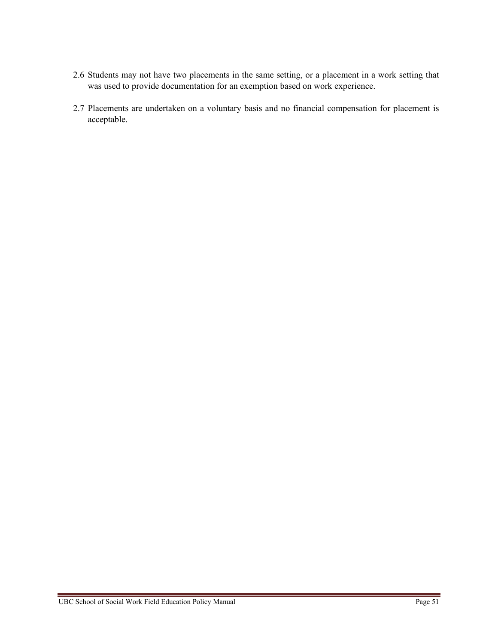- 2.6 Students may not have two placements in the same setting, or a placement in a work setting that was used to provide documentation for an exemption based on work experience.
- 2.7 Placements are undertaken on a voluntary basis and no financial compensation for placement is acceptable.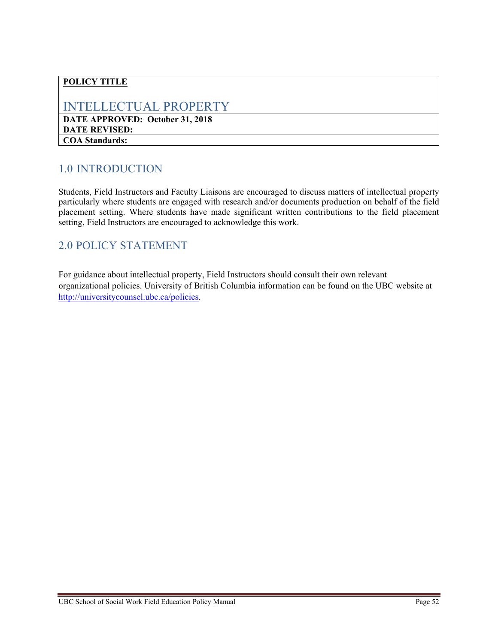## <span id="page-51-0"></span>INTELLECTUAL PROPERTY

**DATE APPROVED: October 31, 2018 DATE REVISED: COA Standards:** 

## <span id="page-51-1"></span>1.0 INTRODUCTION

Students, Field Instructors and Faculty Liaisons are encouraged to discuss matters of intellectual property particularly where students are engaged with research and/or documents production on behalf of the field placement setting. Where students have made significant written contributions to the field placement setting, Field Instructors are encouraged to acknowledge this work.

## <span id="page-51-2"></span>2.0 POLICY STATEMENT

For guidance about intellectual property, Field Instructors should consult their own relevant organizational policies. University of British Columbia information can be found on the UBC website at [http://universitycounsel.ubc.ca/policies.](http://universitycounsel.ubc.ca/policies/)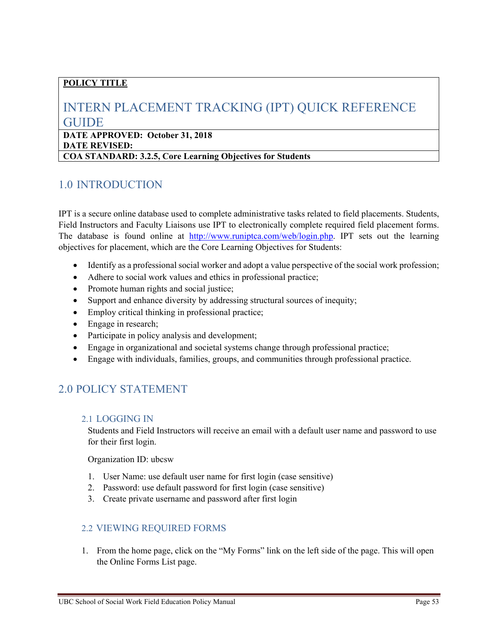## <span id="page-52-0"></span>INTERN PLACEMENT TRACKING (IPT) QUICK REFERENCE GUIDE

**DATE APPROVED: October 31, 2018 DATE REVISED: COA STANDARD: 3.2.5, Core Learning Objectives for Students**

## <span id="page-52-1"></span>1.0 INTRODUCTION

IPT is a secure online database used to complete administrative tasks related to field placements. Students, Field Instructors and Faculty Liaisons use IPT to electronically complete required field placement forms. The database is found online at [http://www.runiptca.com/web/login.php.](http://www.runiptca.com/web/login.php) IPT sets out the learning objectives for placement, which are the Core Learning Objectives for Students:

- Identify as a professional social worker and adopt a value perspective of the social work profession;
- Adhere to social work values and ethics in professional practice;
- Promote human rights and social justice;
- Support and enhance diversity by addressing structural sources of inequity;
- Employ critical thinking in professional practice;
- Engage in research;
- Participate in policy analysis and development;
- Engage in organizational and societal systems change through professional practice;
- Engage with individuals, families, groups, and communities through professional practice.

## <span id="page-52-2"></span>2.0 POLICY STATEMENT

#### 2.1 LOGGING IN

Students and Field Instructors will receive an email with a default user name and password to use for their first login.

Organization ID: ubcsw

- 1. User Name: use default user name for first login (case sensitive)
- 2. Password: use default password for first login (case sensitive)
- 3. Create private username and password after first login

#### 2.2 VIEWING REQUIRED FORMS

1. From the home page, click on the "My Forms" link on the left side of the page. This will open the Online Forms List page.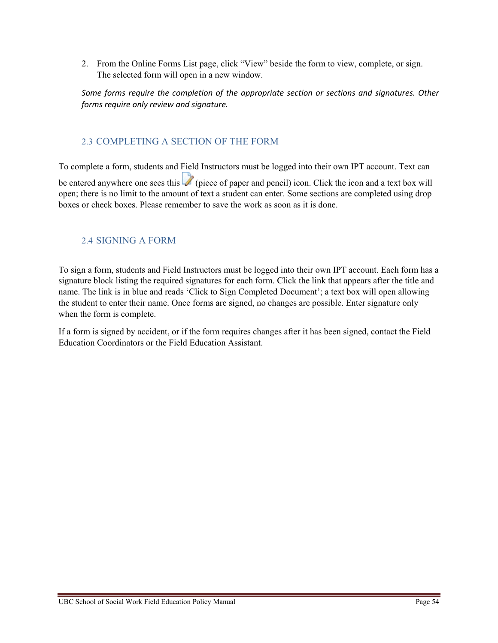2. From the Online Forms List page, click "View" beside the form to view, complete, or sign. The selected form will open in a new window.

*Some forms require the completion of the appropriate section or sections and signatures. Other forms require only review and signature.*

#### 2.3 COMPLETING A SECTION OF THE FORM

To complete a form, students and Field Instructors must be logged into their own IPT account. Text can be entered anywhere one sees this (piece of paper and pencil) icon. Click the icon and a text box will open; there is no limit to the amount of text a student can enter. Some sections are completed using drop boxes or check boxes. Please remember to save the work as soon as it is done.

#### 2.4 SIGNING A FORM

To sign a form, students and Field Instructors must be logged into their own IPT account. Each form has a signature block listing the required signatures for each form. Click the link that appears after the title and name. The link is in blue and reads 'Click to Sign Completed Document'; a text box will open allowing the student to enter their name. Once forms are signed, no changes are possible. Enter signature only when the form is complete.

If a form is signed by accident, or if the form requires changes after it has been signed, contact the Field Education Coordinators or the Field Education Assistant.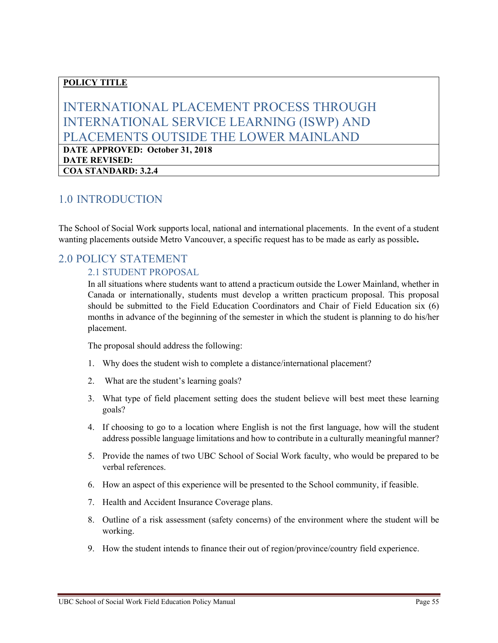## <span id="page-54-0"></span>INTERNATIONAL PLACEMENT PROCESS THROUGH INTERNATIONAL SERVICE LEARNING (ISWP) AND PLACEMENTS OUTSIDE THE LOWER MAINLAND

**DATE APPROVED: October 31, 2018 DATE REVISED: COA STANDARD: 3.2.4** 

### <span id="page-54-1"></span>1.0 INTRODUCTION

The School of Social Work supports local, national and international placements. In the event of a student wanting placements outside Metro Vancouver, a specific request has to be made as early as possible**.** 

### <span id="page-54-2"></span>2.0 POLICY STATEMENT

#### 2.1 STUDENT PROPOSAL

In all situations where students want to attend a practicum outside the Lower Mainland, whether in Canada or internationally, students must develop a written practicum proposal. This proposal should be submitted to the Field Education Coordinators and Chair of Field Education six (6) months in advance of the beginning of the semester in which the student is planning to do his/her placement.

The proposal should address the following:

- 1. Why does the student wish to complete a distance/international placement?
- 2. What are the student's learning goals?
- 3. What type of field placement setting does the student believe will best meet these learning goals?
- 4. If choosing to go to a location where English is not the first language, how will the student address possible language limitations and how to contribute in a culturally meaningful manner?
- 5. Provide the names of two UBC School of Social Work faculty, who would be prepared to be verbal references.
- 6. How an aspect of this experience will be presented to the School community, if feasible.
- 7. Health and Accident Insurance Coverage plans.
- 8. Outline of a risk assessment (safety concerns) of the environment where the student will be working.
- 9. How the student intends to finance their out of region/province/country field experience.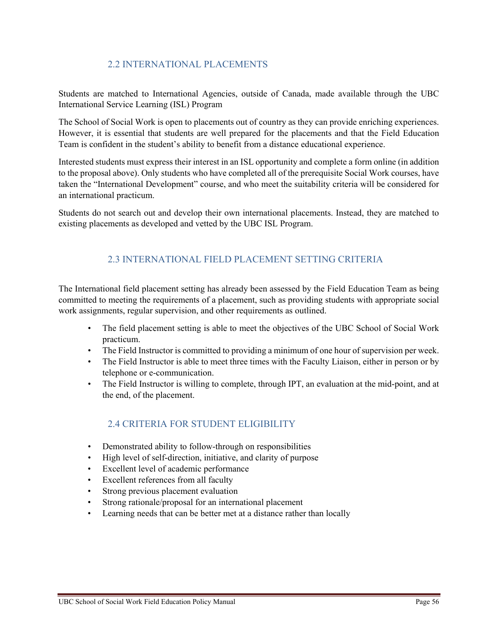#### 2.2 INTERNATIONAL PLACEMENTS

Students are matched to International Agencies, outside of Canada, made available through the UBC International Service Learning (ISL) Program

The School of Social Work is open to placements out of country as they can provide enriching experiences. However, it is essential that students are well prepared for the placements and that the Field Education Team is confident in the student's ability to benefit from a distance educational experience.

Interested students must express their interest in an ISL opportunity and complete a form online (in addition to the proposal above). Only students who have completed all of the prerequisite Social Work courses, have taken the "International Development" course, and who meet the suitability criteria will be considered for an international practicum.

Students do not search out and develop their own international placements. Instead, they are matched to existing placements as developed and vetted by the UBC ISL Program.

#### 2.3 INTERNATIONAL FIELD PLACEMENT SETTING CRITERIA

The International field placement setting has already been assessed by the Field Education Team as being committed to meeting the requirements of a placement, such as providing students with appropriate social work assignments, regular supervision, and other requirements as outlined.

- The field placement setting is able to meet the objectives of the UBC School of Social Work practicum.
- The Field Instructor is committed to providing a minimum of one hour of supervision per week.
- The Field Instructor is able to meet three times with the Faculty Liaison, either in person or by telephone or e-communication.
- The Field Instructor is willing to complete, through IPT, an evaluation at the mid-point, and at the end, of the placement.

#### 2.4 CRITERIA FOR STUDENT ELIGIBILITY

- Demonstrated ability to follow-through on responsibilities
- High level of self-direction, initiative, and clarity of purpose
- Excellent level of academic performance
- Excellent references from all faculty
- Strong previous placement evaluation
- Strong rationale/proposal for an international placement
- Learning needs that can be better met at a distance rather than locally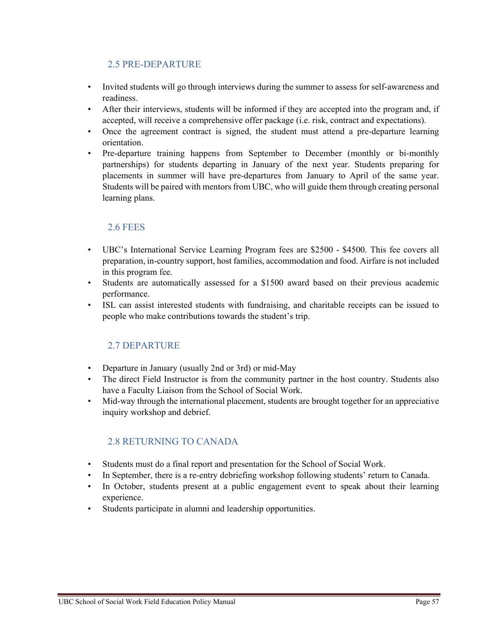#### 2.5 PRE-DEPARTURE

- Invited students will go through interviews during the summer to assess for self-awareness and readiness.
- After their interviews, students will be informed if they are accepted into the program and, if accepted, will receive a comprehensive offer package (i.e. risk, contract and expectations).
- Once the agreement contract is signed, the student must attend a pre-departure learning orientation.
- Pre-departure training happens from September to December (monthly or bi-monthly partnerships) for students departing in January of the next year. Students preparing for placements in summer will have pre-departures from January to April of the same year. Students will be paired with mentors from UBC, who will guide them through creating personal learning plans.

#### 2.6 FEES

- UBC's International Service Learning Program fees are \$2500 \$4500. This fee covers all preparation, in-country support, host families, accommodation and food. Airfare is not included in this program fee.
- Students are automatically assessed for a \$1500 award based on their previous academic performance.
- ISL can assist interested students with fundraising, and charitable receipts can be issued to people who make contributions towards the student's trip.

#### 2.7 DEPARTURE

- Departure in January (usually 2nd or 3rd) or mid-May
- The direct Field Instructor is from the community partner in the host country. Students also have a Faculty Liaison from the School of Social Work.
- Mid-way through the international placement, students are brought together for an appreciative inquiry workshop and debrief.

#### 2.8 RETURNING TO CANADA

- Students must do a final report and presentation for the School of Social Work.
- In September, there is a re-entry debriefing workshop following students' return to Canada.
- In October, students present at a public engagement event to speak about their learning experience.
- Students participate in alumni and leadership opportunities.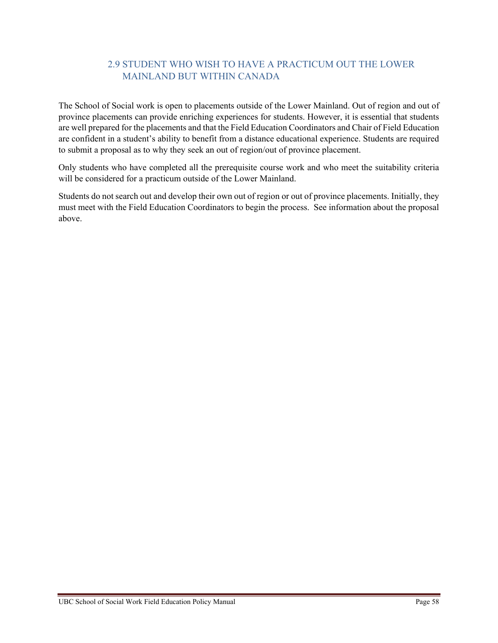#### 2.9 STUDENT WHO WISH TO HAVE A PRACTICUM OUT THE LOWER MAINLAND BUT WITHIN CANADA

The School of Social work is open to placements outside of the Lower Mainland. Out of region and out of province placements can provide enriching experiences for students. However, it is essential that students are well prepared for the placements and that the Field Education Coordinators and Chair of Field Education are confident in a student's ability to benefit from a distance educational experience. Students are required to submit a proposal as to why they seek an out of region/out of province placement.

Only students who have completed all the prerequisite course work and who meet the suitability criteria will be considered for a practicum outside of the Lower Mainland.

Students do not search out and develop their own out of region or out of province placements. Initially, they must meet with the Field Education Coordinators to begin the process. See information about the proposal above.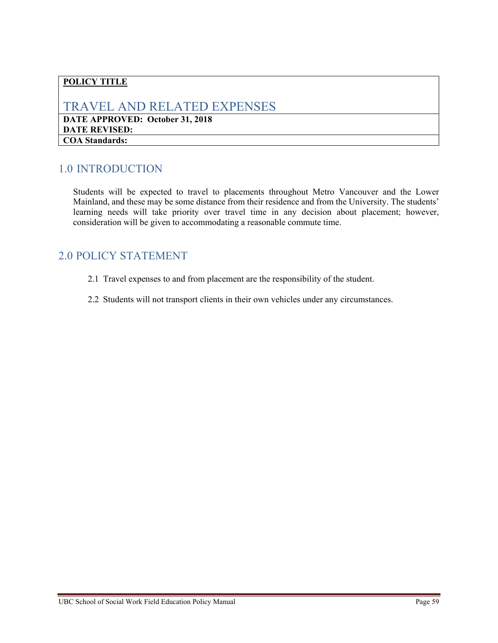## <span id="page-58-0"></span>TRAVEL AND RELATED EXPENSES

**DATE APPROVED: October 31, 2018 DATE REVISED: COA Standards:**

## <span id="page-58-1"></span>1.0 INTRODUCTION

Students will be expected to travel to placements throughout Metro Vancouver and the Lower Mainland, and these may be some distance from their residence and from the University. The students' learning needs will take priority over travel time in any decision about placement; however, consideration will be given to accommodating a reasonable commute time.

- <span id="page-58-2"></span>2.1 Travel expenses to and from placement are the responsibility of the student.
- 2.2 Students will not transport clients in their own vehicles under any circumstances.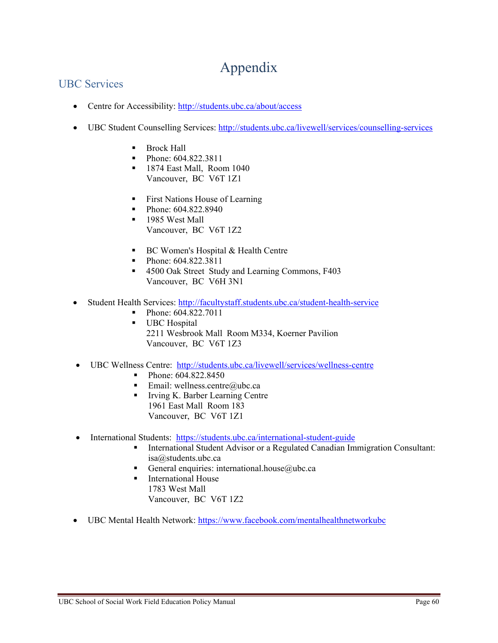## Appendix

## <span id="page-59-1"></span><span id="page-59-0"></span>UBC Services

- Centre for Accessibility:<http://students.ubc.ca/about/access>
- UBC Student Counselling Services:<http://students.ubc.ca/livewell/services/counselling-services>
	- **Brock Hall**
	- Phone: 604.822.3811
	- **1874 East Mall, Room 1040** Vancouver, BC V6T 1Z1
	- First Nations House of Learning
	- Phone: 604.822.8940
	- **1985** West Mall Vancouver, BC V6T 1Z2
	- **BC Women's Hospital & Health Centre**
	- Phone: [604.822.3811](tel:+1604.822.3811)
	- 4500 Oak Street Study and Learning Commons, F403 Vancouver, BC V6H 3N1
- Student Health Services:<http://facultystaff.students.ubc.ca/student-health-service>
	- Phone: [604.822.7011](tel:+1604.822.7011)
	- **UBC** Hospital 2211 Wesbrook Mall Room M334, Koerner Pavilion Vancouver, BC V6T 1Z3
- UBC Wellness Centre: <http://students.ubc.ca/livewell/services/wellness-centre>
	- Phone: [604.822.8450](tel:+1604.822.8450)
	- Email: [wellness.centre@ubc.ca](mailto:wellness.centre@ubc.ca)
	- Irving K. Barber Learning Centre 1961 East Mall Room 183 Vancouver, BC V6T 1Z1
- International Students: https://students.ubc.ca/international-student-guide
	- International Student Advisor or a Regulated Canadian Immigration Consultant: [isa@students.ubc.ca](mailto:isa@students.ubc.ca)
	- General enquiries: [international.house@ubc.ca](mailto:international.house@ubc.ca)
	- **International House** 1783 West Mall Vancouver, BC V6T 1Z2
- UBC Mental Health Network: https://www.facebook.com/mentalhealthnetworkubc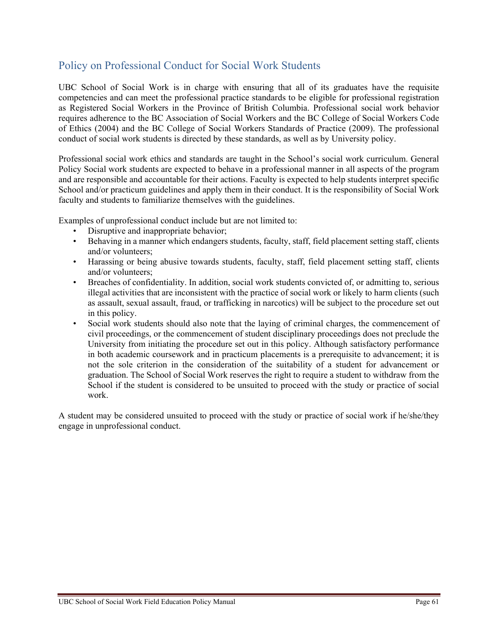## <span id="page-60-0"></span>Policy on Professional Conduct for Social Work Students

UBC School of Social Work is in charge with ensuring that all of its graduates have the requisite competencies and can meet the professional practice standards to be eligible for professional registration as Registered Social Workers in the Province of British Columbia. Professional social work behavior requires adherence to the BC Association of Social Workers and the BC College of Social Workers Code of Ethics (2004) and the BC College of Social Workers Standards of Practice (2009). The professional conduct of social work students is directed by these standards, as well as by University policy.

Professional social work ethics and standards are taught in the School's social work curriculum. General Policy Social work students are expected to behave in a professional manner in all aspects of the program and are responsible and accountable for their actions. Faculty is expected to help students interpret specific School and/or practicum guidelines and apply them in their conduct. It is the responsibility of Social Work faculty and students to familiarize themselves with the guidelines.

Examples of unprofessional conduct include but are not limited to:

- Disruptive and inappropriate behavior;
- Behaving in a manner which endangers students, faculty, staff, field placement setting staff, clients and/or volunteers;
- Harassing or being abusive towards students, faculty, staff, field placement setting staff, clients and/or volunteers;
- Breaches of confidentiality. In addition, social work students convicted of, or admitting to, serious illegal activities that are inconsistent with the practice of social work or likely to harm clients (such as assault, sexual assault, fraud, or trafficking in narcotics) will be subject to the procedure set out in this policy.
- Social work students should also note that the laying of criminal charges, the commencement of civil proceedings, or the commencement of student disciplinary proceedings does not preclude the University from initiating the procedure set out in this policy. Although satisfactory performance in both academic coursework and in practicum placements is a prerequisite to advancement; it is not the sole criterion in the consideration of the suitability of a student for advancement or graduation. The School of Social Work reserves the right to require a student to withdraw from the School if the student is considered to be unsuited to proceed with the study or practice of social work.

A student may be considered unsuited to proceed with the study or practice of social work if he/she/they engage in unprofessional conduct.